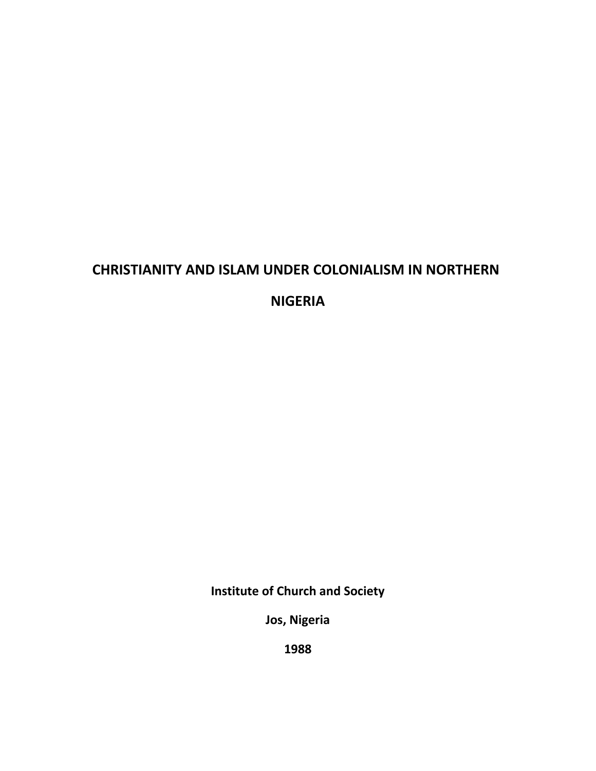# **CHRISTIANITY AND ISLAM UNDER COLONIALISM IN NORTHERN**

**NIGERIA**

**Institute of Church and Society**

**Jos, Nigeria**

**1988**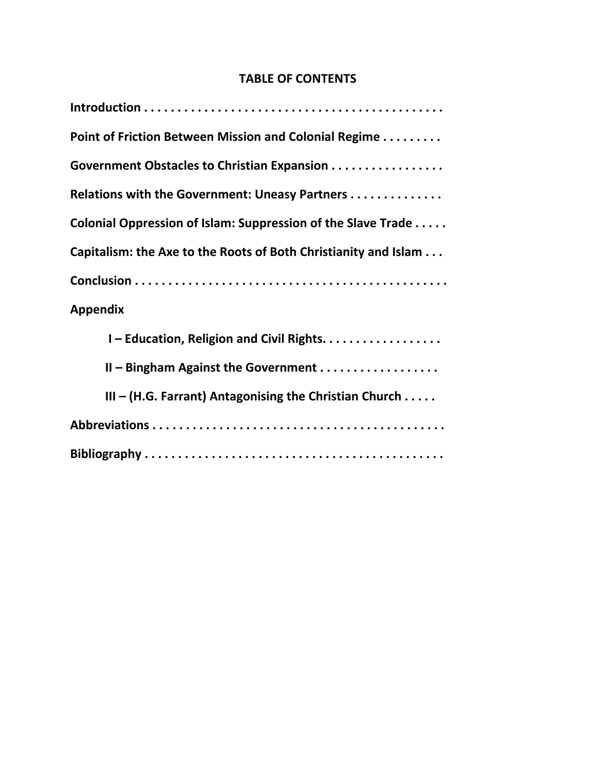# **TABLE OF CONTENTS**

| Point of Friction Between Mission and Colonial Regime           |  |  |
|-----------------------------------------------------------------|--|--|
| Government Obstacles to Christian Expansion                     |  |  |
| Relations with the Government: Uneasy Partners                  |  |  |
| Colonial Oppression of Islam: Suppression of the Slave Trade    |  |  |
| Capitalism: the Axe to the Roots of Both Christianity and Islam |  |  |
|                                                                 |  |  |
| <b>Appendix</b>                                                 |  |  |
| I-Education, Religion and Civil Rights                          |  |  |
| $II$ – Bingham Against the Government $\ldots$                  |  |  |
| $III - (H.G. Farrant)$ Antagonising the Christian Church        |  |  |
|                                                                 |  |  |
|                                                                 |  |  |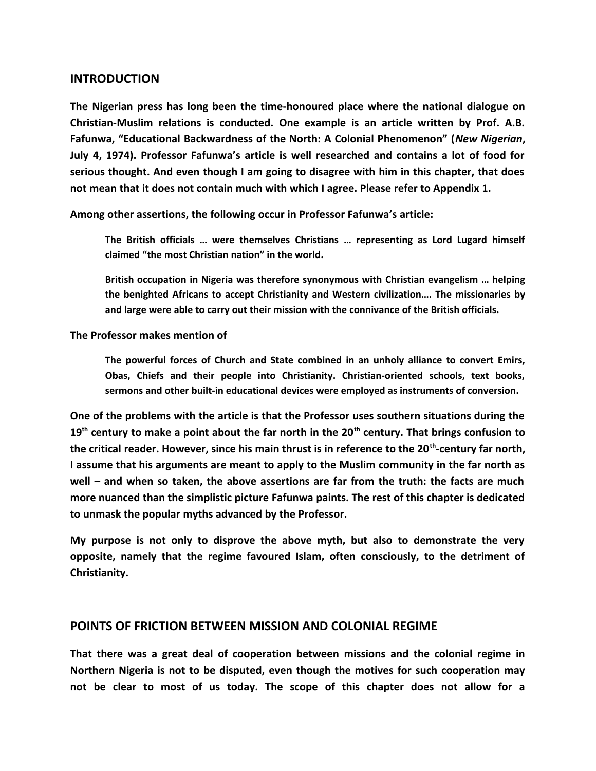#### **INTRODUCTION**

**The Nigerian press has long been the time-honoured place where the national dialogue on Christian-Muslim relations is conducted. One example is an article written by Prof. A.B. Fafunwa, "Educational Backwardness of the North: A Colonial Phenomenon" (***New Nigerian***, July 4, 1974). Professor Fafunwa's article is well researched and contains a lot of food for serious thought. And even though I am going to disagree with him in this chapter, that does not mean that it does not contain much with which I agree. Please refer to Appendix 1.**

**Among other assertions, the following occur in Professor Fafunwa's article:**

**The British officials … were themselves Christians … representing as Lord Lugard himself claimed "the most Christian nation" in the world.**

**British occupation in Nigeria was therefore synonymous with Christian evangelism … helping the benighted Africans to accept Christianity and Western civilization…. The missionaries by and large were able to carry out their mission with the connivance of the British officials.**

**The Professor makes mention of** 

**The powerful forces of Church and State combined in an unholy alliance to convert Emirs, Obas, Chiefs and their people into Christianity. Christian-oriented schools, text books, sermons and other built-in educational devices were employed as instruments of conversion.**

**One of the problems with the article is that the Professor uses southern situations during the 19th century to make a point about the far north in the 20th century. That brings confusion to the critical reader. However, since his main thrust is in reference to the 20th-century far north, I assume that his arguments are meant to apply to the Muslim community in the far north as well – and when so taken, the above assertions are far from the truth: the facts are much more nuanced than the simplistic picture Fafunwa paints. The rest of this chapter is dedicated to unmask the popular myths advanced by the Professor.**

**My purpose is not only to disprove the above myth, but also to demonstrate the very opposite, namely that the regime favoured Islam, often consciously, to the detriment of Christianity.** 

#### **POINTS OF FRICTION BETWEEN MISSION AND COLONIAL REGIME**

**That there was a great deal of cooperation between missions and the colonial regime in Northern Nigeria is not to be disputed, even though the motives for such cooperation may not be clear to most of us today. The scope of this chapter does not allow for a**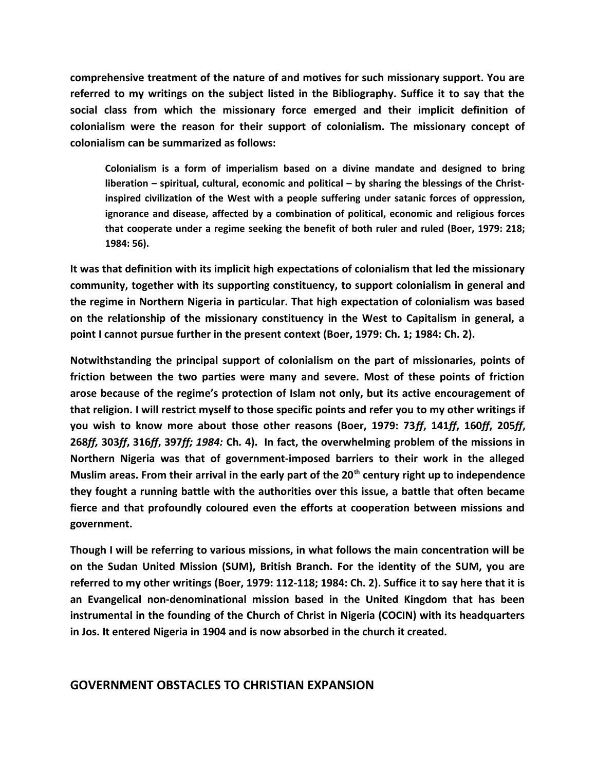**comprehensive treatment of the nature of and motives for such missionary support. You are referred to my writings on the subject listed in the Bibliography. Suffice it to say that the social class from which the missionary force emerged and their implicit definition of colonialism were the reason for their support of colonialism. The missionary concept of colonialism can be summarized as follows:**

**Colonialism is a form of imperialism based on a divine mandate and designed to bring liberation – spiritual, cultural, economic and political – by sharing the blessings of the Christinspired civilization of the West with a people suffering under satanic forces of oppression, ignorance and disease, affected by a combination of political, economic and religious forces that cooperate under a regime seeking the benefit of both ruler and ruled (Boer, 1979: 218; 1984: 56).**

**It was that definition with its implicit high expectations of colonialism that led the missionary community, together with its supporting constituency, to support colonialism in general and the regime in Northern Nigeria in particular. That high expectation of colonialism was based on the relationship of the missionary constituency in the West to Capitalism in general, a point I cannot pursue further in the present context (Boer, 1979: Ch. 1; 1984: Ch. 2).**

**Notwithstanding the principal support of colonialism on the part of missionaries, points of friction between the two parties were many and severe. Most of these points of friction arose because of the regime's protection of Islam not only, but its active encouragement of that religion. I will restrict myself to those specific points and refer you to my other writings if you wish to know more about those other reasons (Boer, 1979: 73***ff***, 141***ff***, 160***ff***, 205***ff***, 268***ff,* **303***ff***, 316***ff***, 397***ff; 1984:* **Ch***.* **4). In fact, the overwhelming problem of the missions in Northern Nigeria was that of government-imposed barriers to their work in the alleged Muslim areas. From their arrival in the early part of the 20th century right up to independence they fought a running battle with the authorities over this issue, a battle that often became fierce and that profoundly coloured even the efforts at cooperation between missions and government.**

**Though I will be referring to various missions, in what follows the main concentration will be on the Sudan United Mission (SUM), British Branch. For the identity of the SUM, you are referred to my other writings (Boer, 1979: 112-118; 1984: Ch. 2). Suffice it to say here that it is an Evangelical non-denominational mission based in the United Kingdom that has been instrumental in the founding of the Church of Christ in Nigeria (COCIN) with its headquarters in Jos. It entered Nigeria in 1904 and is now absorbed in the church it created.**

#### **GOVERNMENT OBSTACLES TO CHRISTIAN EXPANSION**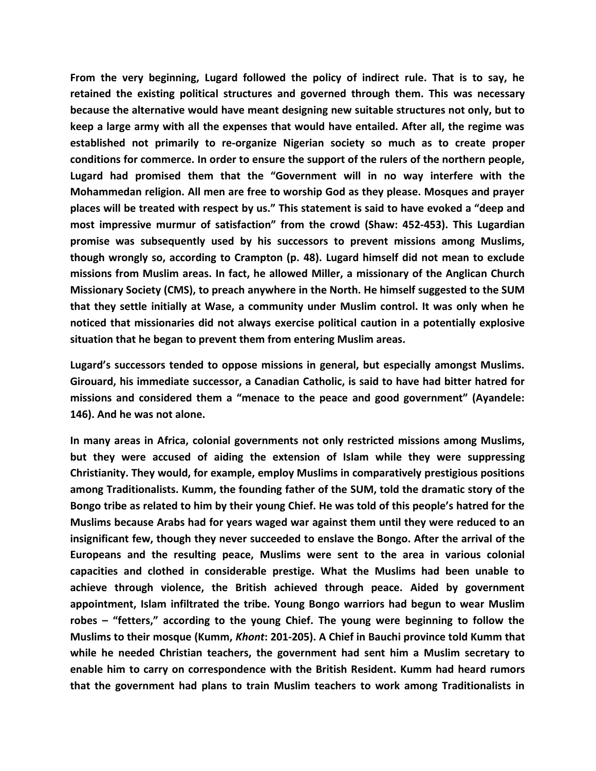**From the very beginning, Lugard followed the policy of indirect rule. That is to say, he retained the existing political structures and governed through them. This was necessary because the alternative would have meant designing new suitable structures not only, but to keep a large army with all the expenses that would have entailed. After all, the regime was established not primarily to re-organize Nigerian society so much as to create proper conditions for commerce. In order to ensure the support of the rulers of the northern people, Lugard had promised them that the "Government will in no way interfere with the Mohammedan religion. All men are free to worship God as they please. Mosques and prayer places will be treated with respect by us." This statement is said to have evoked a "deep and most impressive murmur of satisfaction" from the crowd (Shaw: 452-453). This Lugardian promise was subsequently used by his successors to prevent missions among Muslims, though wrongly so, according to Crampton (p. 48). Lugard himself did not mean to exclude missions from Muslim areas. In fact, he allowed Miller, a missionary of the Anglican Church Missionary Society (CMS), to preach anywhere in the North. He himself suggested to the SUM that they settle initially at Wase, a community under Muslim control. It was only when he noticed that missionaries did not always exercise political caution in a potentially explosive situation that he began to prevent them from entering Muslim areas.**

**Lugard's successors tended to oppose missions in general, but especially amongst Muslims. Girouard, his immediate successor, a Canadian Catholic, is said to have had bitter hatred for missions and considered them a "menace to the peace and good government" (Ayandele: 146). And he was not alone.**

**In many areas in Africa, colonial governments not only restricted missions among Muslims, but they were accused of aiding the extension of Islam while they were suppressing Christianity. They would, for example, employ Muslims in comparatively prestigious positions among Traditionalists. Kumm, the founding father of the SUM, told the dramatic story of the Bongo tribe as related to him by their young Chief. He was told of this people's hatred for the Muslims because Arabs had for years waged war against them until they were reduced to an insignificant few, though they never succeeded to enslave the Bongo. After the arrival of the Europeans and the resulting peace, Muslims were sent to the area in various colonial capacities and clothed in considerable prestige. What the Muslims had been unable to achieve through violence, the British achieved through peace. Aided by government appointment, Islam infiltrated the tribe. Young Bongo warriors had begun to wear Muslim robes – "fetters," according to the young Chief. The young were beginning to follow the Muslims to their mosque (Kumm,** *Khont***: 201-205). A Chief in Bauchi province told Kumm that while he needed Christian teachers, the government had sent him a Muslim secretary to enable him to carry on correspondence with the British Resident. Kumm had heard rumors that the government had plans to train Muslim teachers to work among Traditionalists in**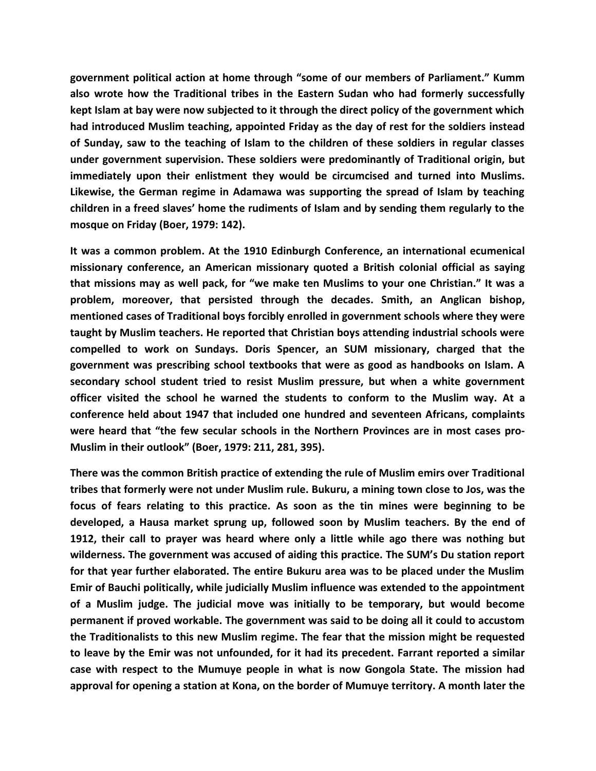**government political action at home through "some of our members of Parliament." Kumm also wrote how the Traditional tribes in the Eastern Sudan who had formerly successfully kept Islam at bay were now subjected to it through the direct policy of the government which had introduced Muslim teaching, appointed Friday as the day of rest for the soldiers instead of Sunday, saw to the teaching of Islam to the children of these soldiers in regular classes under government supervision. These soldiers were predominantly of Traditional origin, but immediately upon their enlistment they would be circumcised and turned into Muslims. Likewise, the German regime in Adamawa was supporting the spread of Islam by teaching children in a freed slaves' home the rudiments of Islam and by sending them regularly to the mosque on Friday (Boer, 1979: 142).**

**It was a common problem. At the 1910 Edinburgh Conference, an international ecumenical missionary conference, an American missionary quoted a British colonial official as saying that missions may as well pack, for "we make ten Muslims to your one Christian." It was a problem, moreover, that persisted through the decades. Smith, an Anglican bishop, mentioned cases of Traditional boys forcibly enrolled in government schools where they were taught by Muslim teachers. He reported that Christian boys attending industrial schools were compelled to work on Sundays. Doris Spencer, an SUM missionary, charged that the government was prescribing school textbooks that were as good as handbooks on Islam. A secondary school student tried to resist Muslim pressure, but when a white government officer visited the school he warned the students to conform to the Muslim way. At a conference held about 1947 that included one hundred and seventeen Africans, complaints were heard that "the few secular schools in the Northern Provinces are in most cases pro-Muslim in their outlook" (Boer, 1979: 211, 281, 395).**

**There was the common British practice of extending the rule of Muslim emirs over Traditional tribes that formerly were not under Muslim rule. Bukuru, a mining town close to Jos, was the focus of fears relating to this practice. As soon as the tin mines were beginning to be developed, a Hausa market sprung up, followed soon by Muslim teachers. By the end of 1912, their call to prayer was heard where only a little while ago there was nothing but wilderness. The government was accused of aiding this practice. The SUM's Du station report for that year further elaborated. The entire Bukuru area was to be placed under the Muslim Emir of Bauchi politically, while judicially Muslim influence was extended to the appointment of a Muslim judge. The judicial move was initially to be temporary, but would become permanent if proved workable. The government was said to be doing all it could to accustom the Traditionalists to this new Muslim regime. The fear that the mission might be requested to leave by the Emir was not unfounded, for it had its precedent. Farrant reported a similar case with respect to the Mumuye people in what is now Gongola State. The mission had approval for opening a station at Kona, on the border of Mumuye territory. A month later the**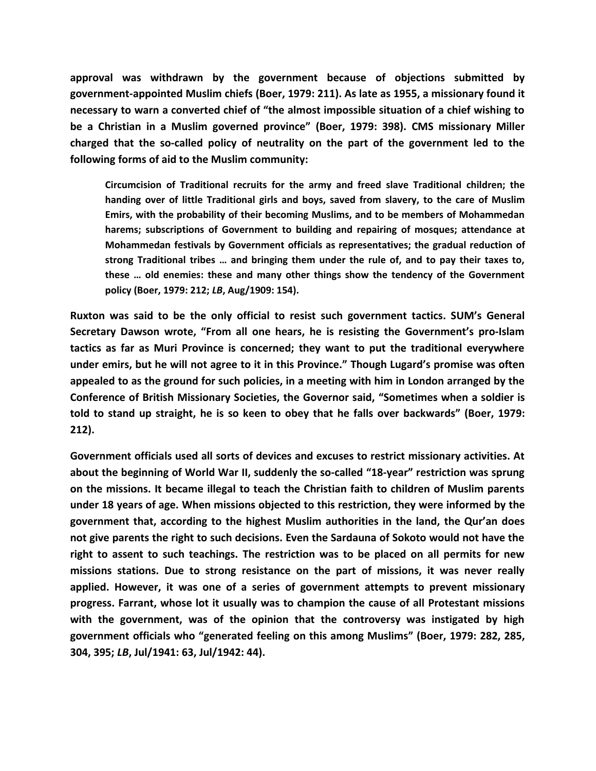**approval was withdrawn by the government because of objections submitted by government-appointed Muslim chiefs (Boer, 1979: 211). As late as 1955, a missionary found it necessary to warn a converted chief of "the almost impossible situation of a chief wishing to be a Christian in a Muslim governed province" (Boer, 1979: 398). CMS missionary Miller charged that the so-called policy of neutrality on the part of the government led to the following forms of aid to the Muslim community:**

**Circumcision of Traditional recruits for the army and freed slave Traditional children; the handing over of little Traditional girls and boys, saved from slavery, to the care of Muslim Emirs, with the probability of their becoming Muslims, and to be members of Mohammedan harems; subscriptions of Government to building and repairing of mosques; attendance at Mohammedan festivals by Government officials as representatives; the gradual reduction of strong Traditional tribes … and bringing them under the rule of, and to pay their taxes to, these … old enemies: these and many other things show the tendency of the Government policy (Boer, 1979: 212;** *LB***, Aug/1909: 154).**

**Ruxton was said to be the only official to resist such government tactics. SUM's General Secretary Dawson wrote, "From all one hears, he is resisting the Government's pro-Islam tactics as far as Muri Province is concerned; they want to put the traditional everywhere under emirs, but he will not agree to it in this Province." Though Lugard's promise was often appealed to as the ground for such policies, in a meeting with him in London arranged by the Conference of British Missionary Societies, the Governor said, "Sometimes when a soldier is told to stand up straight, he is so keen to obey that he falls over backwards" (Boer, 1979: 212).**

**Government officials used all sorts of devices and excuses to restrict missionary activities. At about the beginning of World War II, suddenly the so-called "18-year" restriction was sprung on the missions. It became illegal to teach the Christian faith to children of Muslim parents under 18 years of age. When missions objected to this restriction, they were informed by the government that, according to the highest Muslim authorities in the land, the Qur'an does not give parents the right to such decisions. Even the Sardauna of Sokoto would not have the right to assent to such teachings. The restriction was to be placed on all permits for new missions stations. Due to strong resistance on the part of missions, it was never really applied. However, it was one of a series of government attempts to prevent missionary progress. Farrant, whose lot it usually was to champion the cause of all Protestant missions with the government, was of the opinion that the controversy was instigated by high government officials who "generated feeling on this among Muslims" (Boer, 1979: 282, 285, 304, 395;** *LB***, Jul/1941: 63, Jul/1942: 44).**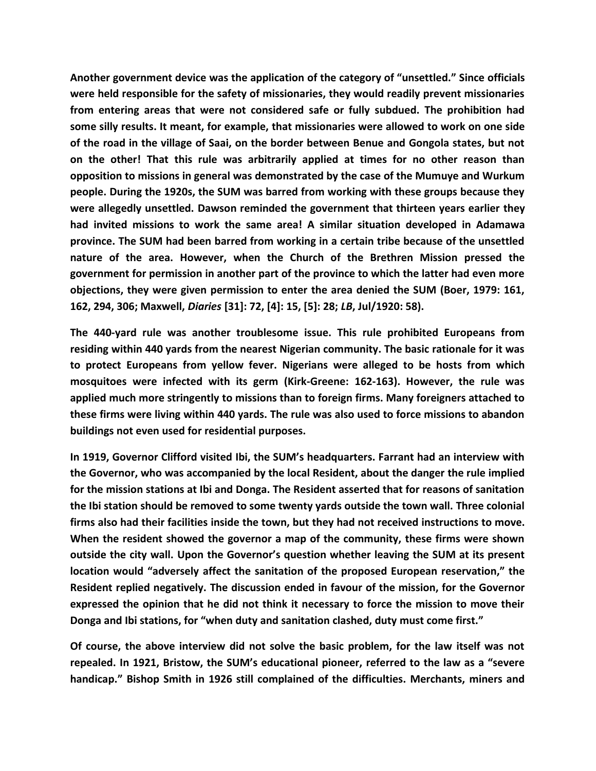**Another government device was the application of the category of "unsettled." Since officials were held responsible for the safety of missionaries, they would readily prevent missionaries from entering areas that were not considered safe or fully subdued. The prohibition had some silly results. It meant, for example, that missionaries were allowed to work on one side of the road in the village of Saai, on the border between Benue and Gongola states, but not on the other! That this rule was arbitrarily applied at times for no other reason than opposition to missions in general was demonstrated by the case of the Mumuye and Wurkum people. During the 1920s, the SUM was barred from working with these groups because they were allegedly unsettled. Dawson reminded the government that thirteen years earlier they had invited missions to work the same area! A similar situation developed in Adamawa province. The SUM had been barred from working in a certain tribe because of the unsettled nature of the area. However, when the Church of the Brethren Mission pressed the government for permission in another part of the province to which the latter had even more objections, they were given permission to enter the area denied the SUM (Boer, 1979: 161, 162, 294, 306; Maxwell,** *Diaries* **[31]: 72, [4]: 15, [5]: 28;** *LB***, Jul/1920: 58).**

**The 440-yard rule was another troublesome issue. This rule prohibited Europeans from residing within 440 yards from the nearest Nigerian community. The basic rationale for it was to protect Europeans from yellow fever. Nigerians were alleged to be hosts from which mosquitoes were infected with its germ (Kirk-Greene: 162-163). However, the rule was applied much more stringently to missions than to foreign firms. Many foreigners attached to these firms were living within 440 yards. The rule was also used to force missions to abandon buildings not even used for residential purposes.**

**In 1919, Governor Clifford visited Ibi, the SUM's headquarters. Farrant had an interview with the Governor, who was accompanied by the local Resident, about the danger the rule implied for the mission stations at Ibi and Donga. The Resident asserted that for reasons of sanitation the Ibi station should be removed to some twenty yards outside the town wall. Three colonial firms also had their facilities inside the town, but they had not received instructions to move. When the resident showed the governor a map of the community, these firms were shown outside the city wall. Upon the Governor's question whether leaving the SUM at its present location would "adversely affect the sanitation of the proposed European reservation," the Resident replied negatively. The discussion ended in favour of the mission, for the Governor expressed the opinion that he did not think it necessary to force the mission to move their Donga and Ibi stations, for "when duty and sanitation clashed, duty must come first."**

**Of course, the above interview did not solve the basic problem, for the law itself was not repealed. In 1921, Bristow, the SUM's educational pioneer, referred to the law as a "severe handicap." Bishop Smith in 1926 still complained of the difficulties. Merchants, miners and**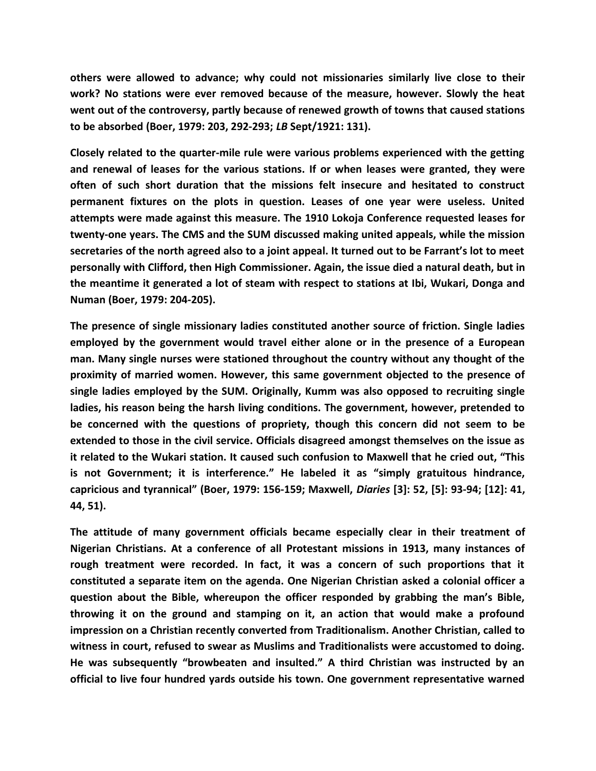**others were allowed to advance; why could not missionaries similarly live close to their work? No stations were ever removed because of the measure, however. Slowly the heat went out of the controversy, partly because of renewed growth of towns that caused stations to be absorbed (Boer, 1979: 203, 292-293;** *LB* **Sept/1921: 131).**

**Closely related to the quarter-mile rule were various problems experienced with the getting and renewal of leases for the various stations. If or when leases were granted, they were often of such short duration that the missions felt insecure and hesitated to construct permanent fixtures on the plots in question. Leases of one year were useless. United attempts were made against this measure. The 1910 Lokoja Conference requested leases for twenty-one years. The CMS and the SUM discussed making united appeals, while the mission secretaries of the north agreed also to a joint appeal. It turned out to be Farrant's lot to meet personally with Clifford, then High Commissioner. Again, the issue died a natural death, but in the meantime it generated a lot of steam with respect to stations at Ibi, Wukari, Donga and Numan (Boer, 1979: 204-205).**

**The presence of single missionary ladies constituted another source of friction. Single ladies employed by the government would travel either alone or in the presence of a European man. Many single nurses were stationed throughout the country without any thought of the proximity of married women. However, this same government objected to the presence of single ladies employed by the SUM. Originally, Kumm was also opposed to recruiting single ladies, his reason being the harsh living conditions. The government, however, pretended to be concerned with the questions of propriety, though this concern did not seem to be extended to those in the civil service. Officials disagreed amongst themselves on the issue as it related to the Wukari station. It caused such confusion to Maxwell that he cried out, "This is not Government; it is interference." He labeled it as "simply gratuitous hindrance, capricious and tyrannical" (Boer, 1979: 156-159; Maxwell,** *Diaries* **[3]: 52, [5]: 93-94; [12]: 41, 44, 51).**

**The attitude of many government officials became especially clear in their treatment of Nigerian Christians. At a conference of all Protestant missions in 1913, many instances of rough treatment were recorded. In fact, it was a concern of such proportions that it constituted a separate item on the agenda. One Nigerian Christian asked a colonial officer a question about the Bible, whereupon the officer responded by grabbing the man's Bible, throwing it on the ground and stamping on it, an action that would make a profound impression on a Christian recently converted from Traditionalism. Another Christian, called to witness in court, refused to swear as Muslims and Traditionalists were accustomed to doing. He was subsequently "browbeaten and insulted." A third Christian was instructed by an official to live four hundred yards outside his town. One government representative warned**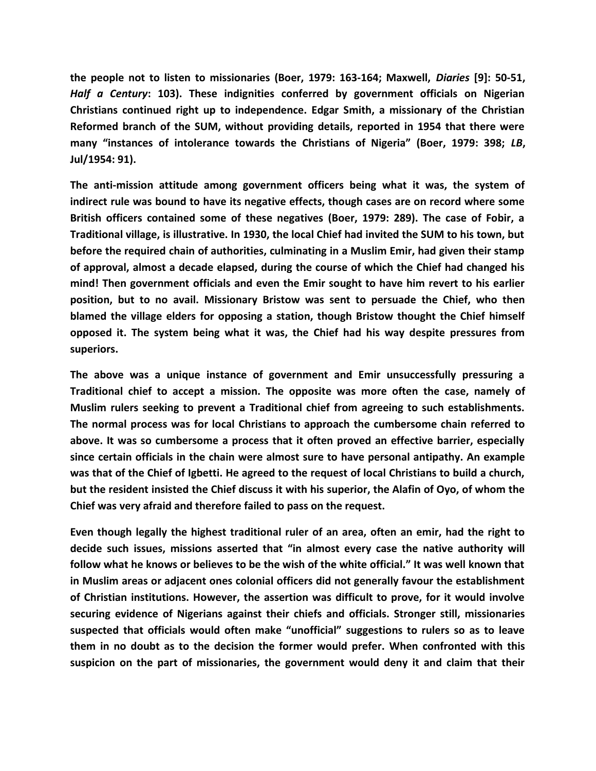**the people not to listen to missionaries (Boer, 1979: 163-164; Maxwell,** *Diaries* **[9]: 50-51,** *Half a Century***: 103). These indignities conferred by government officials on Nigerian Christians continued right up to independence. Edgar Smith, a missionary of the Christian Reformed branch of the SUM, without providing details, reported in 1954 that there were many "instances of intolerance towards the Christians of Nigeria" (Boer, 1979: 398;** *LB***, Jul/1954: 91).**

**The anti-mission attitude among government officers being what it was, the system of indirect rule was bound to have its negative effects, though cases are on record where some British officers contained some of these negatives (Boer, 1979: 289). The case of Fobir, a Traditional village, is illustrative. In 1930, the local Chief had invited the SUM to his town, but before the required chain of authorities, culminating in a Muslim Emir, had given their stamp of approval, almost a decade elapsed, during the course of which the Chief had changed his mind! Then government officials and even the Emir sought to have him revert to his earlier position, but to no avail. Missionary Bristow was sent to persuade the Chief, who then blamed the village elders for opposing a station, though Bristow thought the Chief himself opposed it. The system being what it was, the Chief had his way despite pressures from superiors.**

**The above was a unique instance of government and Emir unsuccessfully pressuring a Traditional chief to accept a mission. The opposite was more often the case, namely of Muslim rulers seeking to prevent a Traditional chief from agreeing to such establishments. The normal process was for local Christians to approach the cumbersome chain referred to above. It was so cumbersome a process that it often proved an effective barrier, especially since certain officials in the chain were almost sure to have personal antipathy. An example was that of the Chief of Igbetti. He agreed to the request of local Christians to build a church, but the resident insisted the Chief discuss it with his superior, the Alafin of Oyo, of whom the Chief was very afraid and therefore failed to pass on the request.**

**Even though legally the highest traditional ruler of an area, often an emir, had the right to decide such issues, missions asserted that "in almost every case the native authority will follow what he knows or believes to be the wish of the white official." It was well known that in Muslim areas or adjacent ones colonial officers did not generally favour the establishment of Christian institutions. However, the assertion was difficult to prove, for it would involve securing evidence of Nigerians against their chiefs and officials. Stronger still, missionaries suspected that officials would often make "unofficial" suggestions to rulers so as to leave them in no doubt as to the decision the former would prefer. When confronted with this suspicion on the part of missionaries, the government would deny it and claim that their**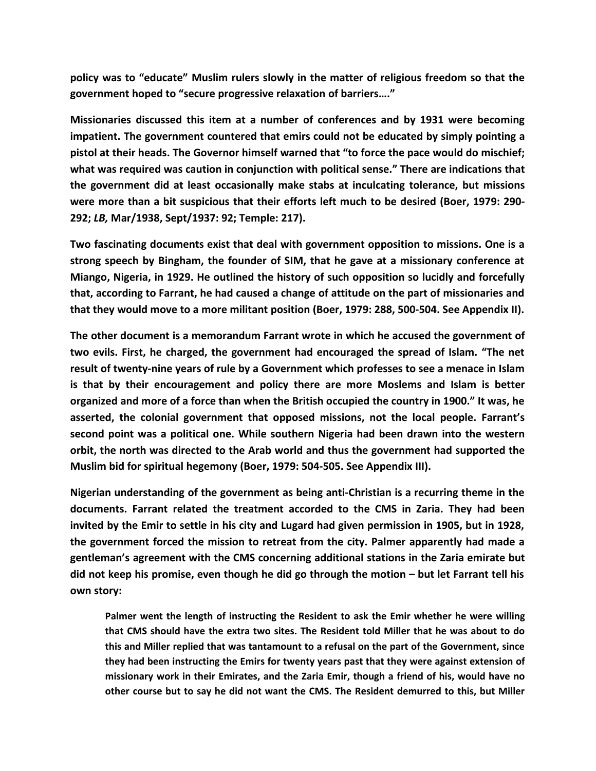**policy was to "educate" Muslim rulers slowly in the matter of religious freedom so that the government hoped to "secure progressive relaxation of barriers…."**

**Missionaries discussed this item at a number of conferences and by 1931 were becoming impatient. The government countered that emirs could not be educated by simply pointing a pistol at their heads. The Governor himself warned that "to force the pace would do mischief; what was required was caution in conjunction with political sense." There are indications that the government did at least occasionally make stabs at inculcating tolerance, but missions were more than a bit suspicious that their efforts left much to be desired (Boer, 1979: 290- 292;** *LB,* **Mar/1938, Sept/1937: 92; Temple: 217).**

**Two fascinating documents exist that deal with government opposition to missions. One is a strong speech by Bingham, the founder of SIM, that he gave at a missionary conference at Miango, Nigeria, in 1929. He outlined the history of such opposition so lucidly and forcefully that, according to Farrant, he had caused a change of attitude on the part of missionaries and that they would move to a more militant position (Boer, 1979: 288, 500-504. See Appendix II).**

**The other document is a memorandum Farrant wrote in which he accused the government of two evils. First, he charged, the government had encouraged the spread of Islam. "The net result of twenty-nine years of rule by a Government which professes to see a menace in Islam is that by their encouragement and policy there are more Moslems and Islam is better organized and more of a force than when the British occupied the country in 1900." It was, he asserted, the colonial government that opposed missions, not the local people. Farrant's second point was a political one. While southern Nigeria had been drawn into the western orbit, the north was directed to the Arab world and thus the government had supported the Muslim bid for spiritual hegemony (Boer, 1979: 504-505. See Appendix III).**

**Nigerian understanding of the government as being anti-Christian is a recurring theme in the documents. Farrant related the treatment accorded to the CMS in Zaria. They had been invited by the Emir to settle in his city and Lugard had given permission in 1905, but in 1928, the government forced the mission to retreat from the city. Palmer apparently had made a gentleman's agreement with the CMS concerning additional stations in the Zaria emirate but did not keep his promise, even though he did go through the motion – but let Farrant tell his own story:**

**Palmer went the length of instructing the Resident to ask the Emir whether he were willing that CMS should have the extra two sites. The Resident told Miller that he was about to do this and Miller replied that was tantamount to a refusal on the part of the Government, since they had been instructing the Emirs for twenty years past that they were against extension of missionary work in their Emirates, and the Zaria Emir, though a friend of his, would have no other course but to say he did not want the CMS. The Resident demurred to this, but Miller**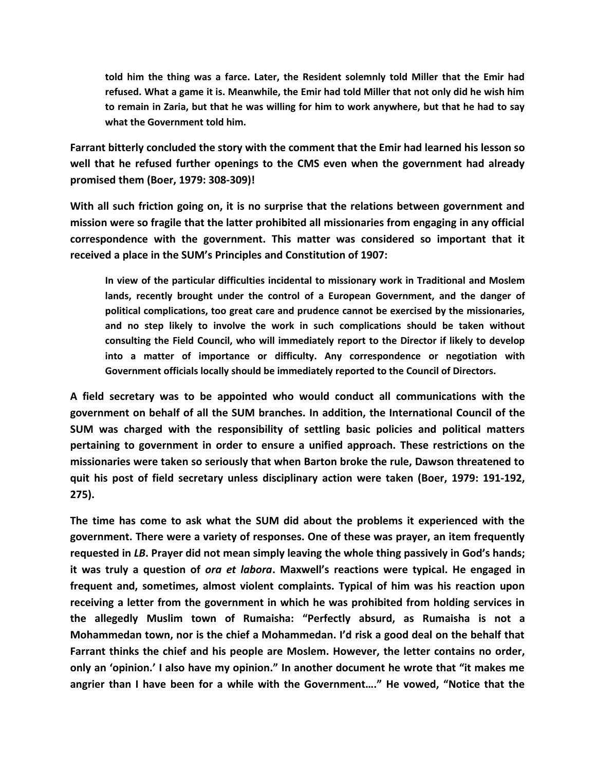**told him the thing was a farce. Later, the Resident solemnly told Miller that the Emir had refused. What a game it is. Meanwhile, the Emir had told Miller that not only did he wish him to remain in Zaria, but that he was willing for him to work anywhere, but that he had to say what the Government told him.**

**Farrant bitterly concluded the story with the comment that the Emir had learned his lesson so well that he refused further openings to the CMS even when the government had already promised them (Boer, 1979: 308-309)!**

**With all such friction going on, it is no surprise that the relations between government and mission were so fragile that the latter prohibited all missionaries from engaging in any official correspondence with the government. This matter was considered so important that it received a place in the SUM's Principles and Constitution of 1907:**

**In view of the particular difficulties incidental to missionary work in Traditional and Moslem lands, recently brought under the control of a European Government, and the danger of political complications, too great care and prudence cannot be exercised by the missionaries, and no step likely to involve the work in such complications should be taken without consulting the Field Council, who will immediately report to the Director if likely to develop into a matter of importance or difficulty. Any correspondence or negotiation with Government officials locally should be immediately reported to the Council of Directors.**

**A field secretary was to be appointed who would conduct all communications with the government on behalf of all the SUM branches. In addition, the International Council of the SUM was charged with the responsibility of settling basic policies and political matters pertaining to government in order to ensure a unified approach. These restrictions on the missionaries were taken so seriously that when Barton broke the rule, Dawson threatened to quit his post of field secretary unless disciplinary action were taken (Boer, 1979: 191-192, 275).**

**The time has come to ask what the SUM did about the problems it experienced with the government. There were a variety of responses. One of these was prayer, an item frequently requested in** *LB***. Prayer did not mean simply leaving the whole thing passively in God's hands; it was truly a question of** *ora et labora***. Maxwell's reactions were typical. He engaged in frequent and, sometimes, almost violent complaints. Typical of him was his reaction upon receiving a letter from the government in which he was prohibited from holding services in the allegedly Muslim town of Rumaisha: "Perfectly absurd, as Rumaisha is not a Mohammedan town, nor is the chief a Mohammedan. I'd risk a good deal on the behalf that Farrant thinks the chief and his people are Moslem. However, the letter contains no order, only an 'opinion.' I also have my opinion." In another document he wrote that "it makes me angrier than I have been for a while with the Government…." He vowed, "Notice that the**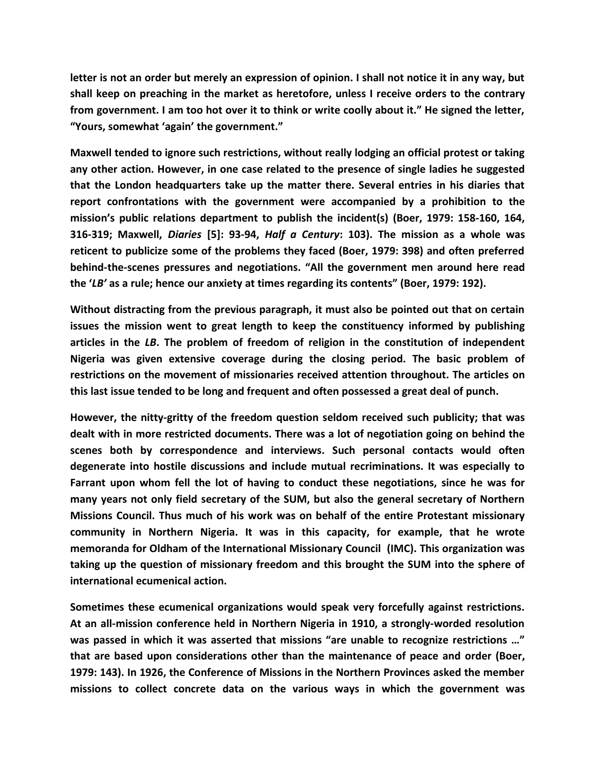**letter is not an order but merely an expression of opinion. I shall not notice it in any way, but shall keep on preaching in the market as heretofore, unless I receive orders to the contrary from government. I am too hot over it to think or write coolly about it." He signed the letter, "Yours, somewhat 'again' the government."**

**Maxwell tended to ignore such restrictions, without really lodging an official protest or taking any other action. However, in one case related to the presence of single ladies he suggested that the London headquarters take up the matter there. Several entries in his diaries that report confrontations with the government were accompanied by a prohibition to the mission's public relations department to publish the incident(s) (Boer, 1979: 158-160, 164, 316-319; Maxwell,** *Diaries* **[5]: 93-94,** *Half a Century***: 103). The mission as a whole was reticent to publicize some of the problems they faced (Boer, 1979: 398) and often preferred behind-the-scenes pressures and negotiations. "All the government men around here read the '***LB'* **as a rule; hence our anxiety at times regarding its contents" (Boer, 1979: 192).**

**Without distracting from the previous paragraph, it must also be pointed out that on certain issues the mission went to great length to keep the constituency informed by publishing articles in the** *LB***. The problem of freedom of religion in the constitution of independent Nigeria was given extensive coverage during the closing period. The basic problem of restrictions on the movement of missionaries received attention throughout. The articles on this last issue tended to be long and frequent and often possessed a great deal of punch.**

**However, the nitty-gritty of the freedom question seldom received such publicity; that was dealt with in more restricted documents. There was a lot of negotiation going on behind the scenes both by correspondence and interviews. Such personal contacts would often degenerate into hostile discussions and include mutual recriminations. It was especially to Farrant upon whom fell the lot of having to conduct these negotiations, since he was for many years not only field secretary of the SUM, but also the general secretary of Northern Missions Council. Thus much of his work was on behalf of the entire Protestant missionary community in Northern Nigeria. It was in this capacity, for example, that he wrote memoranda for Oldham of the International Missionary Council (IMC). This organization was taking up the question of missionary freedom and this brought the SUM into the sphere of international ecumenical action.**

**Sometimes these ecumenical organizations would speak very forcefully against restrictions. At an all-mission conference held in Northern Nigeria in 1910, a strongly-worded resolution was passed in which it was asserted that missions "are unable to recognize restrictions …" that are based upon considerations other than the maintenance of peace and order (Boer, 1979: 143). In 1926, the Conference of Missions in the Northern Provinces asked the member missions to collect concrete data on the various ways in which the government was**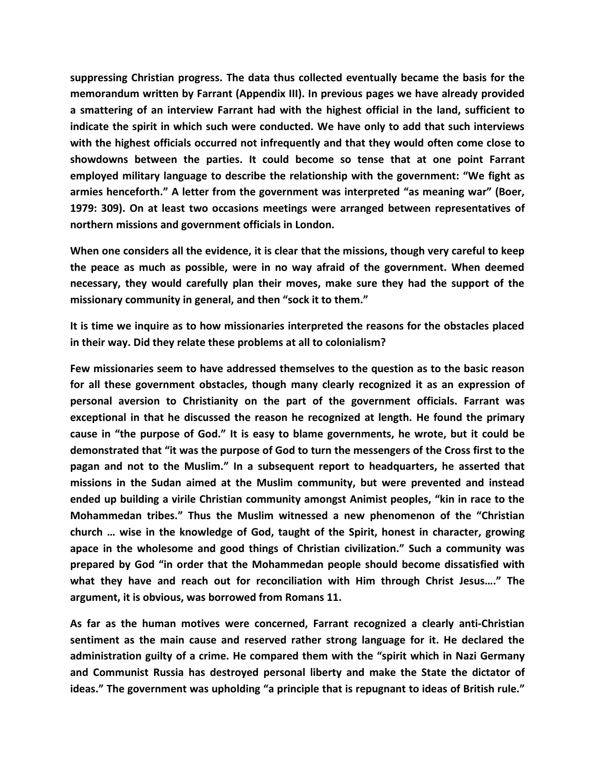**suppressing Christian progress. The data thus collected eventually became the basis for the memorandum written by Farrant (Appendix III). In previous pages we have already provided a smattering of an interview Farrant had with the highest official in the land, sufficient to indicate the spirit in which such were conducted. We have only to add that such interviews with the highest officials occurred not infrequently and that they would often come close to showdowns between the parties. It could become so tense that at one point Farrant employed military language to describe the relationship with the government: "We fight as armies henceforth." A letter from the government was interpreted "as meaning war" (Boer, 1979: 309). On at least two occasions meetings were arranged between representatives of northern missions and government officials in London.**

**When one considers all the evidence, it is clear that the missions, though very careful to keep the peace as much as possible, were in no way afraid of the government. When deemed necessary, they would carefully plan their moves, make sure they had the support of the missionary community in general, and then "sock it to them."**

**It is time we inquire as to how missionaries interpreted the reasons for the obstacles placed in their way. Did they relate these problems at all to colonialism?**

**Few missionaries seem to have addressed themselves to the question as to the basic reason for all these government obstacles, though many clearly recognized it as an expression of personal aversion to Christianity on the part of the government officials. Farrant was exceptional in that he discussed the reason he recognized at length. He found the primary cause in "the purpose of God." It is easy to blame governments, he wrote, but it could be demonstrated that "it was the purpose of God to turn the messengers of the Cross first to the pagan and not to the Muslim." In a subsequent report to headquarters, he asserted that missions in the Sudan aimed at the Muslim community, but were prevented and instead ended up building a virile Christian community amongst Animist peoples, "kin in race to the Mohammedan tribes." Thus the Muslim witnessed a new phenomenon of the "Christian church … wise in the knowledge of God, taught of the Spirit, honest in character, growing apace in the wholesome and good things of Christian civilization." Such a community was prepared by God "in order that the Mohammedan people should become dissatisfied with what they have and reach out for reconciliation with Him through Christ Jesus…." The argument, it is obvious, was borrowed from Romans 11.**

**As far as the human motives were concerned, Farrant recognized a clearly anti-Christian sentiment as the main cause and reserved rather strong language for it. He declared the administration guilty of a crime. He compared them with the "spirit which in Nazi Germany and Communist Russia has destroyed personal liberty and make the State the dictator of ideas." The government was upholding "a principle that is repugnant to ideas of British rule."**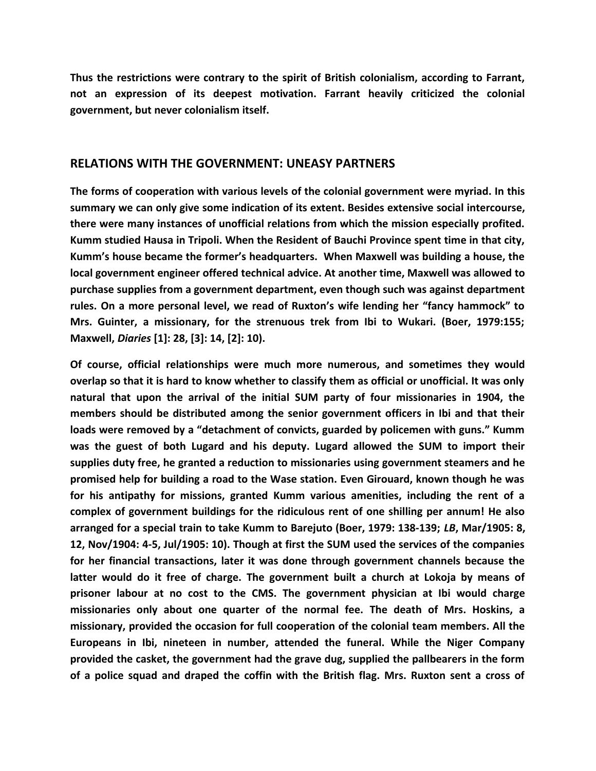**Thus the restrictions were contrary to the spirit of British colonialism, according to Farrant, not an expression of its deepest motivation. Farrant heavily criticized the colonial government, but never colonialism itself.** 

#### **RELATIONS WITH THE GOVERNMENT: UNEASY PARTNERS**

**The forms of cooperation with various levels of the colonial government were myriad. In this summary we can only give some indication of its extent. Besides extensive social intercourse, there were many instances of unofficial relations from which the mission especially profited. Kumm studied Hausa in Tripoli. When the Resident of Bauchi Province spent time in that city, Kumm's house became the former's headquarters. When Maxwell was building a house, the local government engineer offered technical advice. At another time, Maxwell was allowed to purchase supplies from a government department, even though such was against department rules. On a more personal level, we read of Ruxton's wife lending her "fancy hammock" to Mrs. Guinter, a missionary, for the strenuous trek from Ibi to Wukari. (Boer, 1979:155; Maxwell,** *Diaries* **[1]: 28, [3]: 14, [2]: 10).**

**Of course, official relationships were much more numerous, and sometimes they would overlap so that it is hard to know whether to classify them as official or unofficial. It was only natural that upon the arrival of the initial SUM party of four missionaries in 1904, the members should be distributed among the senior government officers in Ibi and that their loads were removed by a "detachment of convicts, guarded by policemen with guns." Kumm was the guest of both Lugard and his deputy. Lugard allowed the SUM to import their supplies duty free, he granted a reduction to missionaries using government steamers and he promised help for building a road to the Wase station. Even Girouard, known though he was for his antipathy for missions, granted Kumm various amenities, including the rent of a complex of government buildings for the ridiculous rent of one shilling per annum! He also arranged for a special train to take Kumm to Barejuto (Boer, 1979: 138-139;** *LB***, Mar/1905: 8, 12, Nov/1904: 4-5, Jul/1905: 10). Though at first the SUM used the services of the companies for her financial transactions, later it was done through government channels because the latter would do it free of charge. The government built a church at Lokoja by means of prisoner labour at no cost to the CMS. The government physician at Ibi would charge missionaries only about one quarter of the normal fee. The death of Mrs. Hoskins, a missionary, provided the occasion for full cooperation of the colonial team members. All the Europeans in Ibi, nineteen in number, attended the funeral. While the Niger Company provided the casket, the government had the grave dug, supplied the pallbearers in the form of a police squad and draped the coffin with the British flag. Mrs. Ruxton sent a cross of**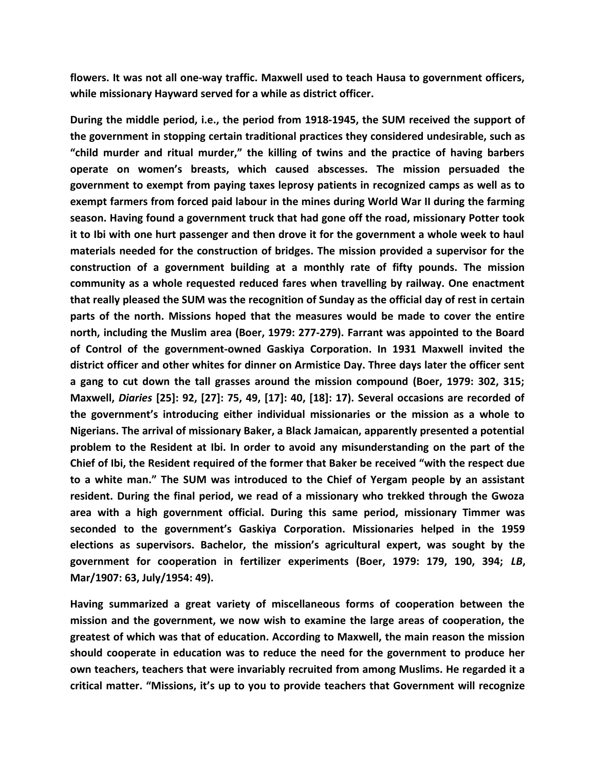**flowers. It was not all one-way traffic. Maxwell used to teach Hausa to government officers, while missionary Hayward served for a while as district officer.**

**During the middle period, i.e., the period from 1918-1945, the SUM received the support of the government in stopping certain traditional practices they considered undesirable, such as "child murder and ritual murder," the killing of twins and the practice of having barbers operate on women's breasts, which caused abscesses. The mission persuaded the government to exempt from paying taxes leprosy patients in recognized camps as well as to exempt farmers from forced paid labour in the mines during World War II during the farming season. Having found a government truck that had gone off the road, missionary Potter took it to Ibi with one hurt passenger and then drove it for the government a whole week to haul materials needed for the construction of bridges. The mission provided a supervisor for the construction of a government building at a monthly rate of fifty pounds. The mission community as a whole requested reduced fares when travelling by railway. One enactment that really pleased the SUM was the recognition of Sunday as the official day of rest in certain parts of the north. Missions hoped that the measures would be made to cover the entire north, including the Muslim area (Boer, 1979: 277-279). Farrant was appointed to the Board of Control of the government-owned Gaskiya Corporation. In 1931 Maxwell invited the district officer and other whites for dinner on Armistice Day. Three days later the officer sent a gang to cut down the tall grasses around the mission compound (Boer, 1979: 302, 315; Maxwell,** *Diaries* **[25]: 92, [27]: 75, 49, [17]: 40, [18]: 17). Several occasions are recorded of the government's introducing either individual missionaries or the mission as a whole to Nigerians. The arrival of missionary Baker, a Black Jamaican, apparently presented a potential problem to the Resident at Ibi. In order to avoid any misunderstanding on the part of the Chief of Ibi, the Resident required of the former that Baker be received "with the respect due to a white man." The SUM was introduced to the Chief of Yergam people by an assistant resident. During the final period, we read of a missionary who trekked through the Gwoza area with a high government official. During this same period, missionary Timmer was seconded to the government's Gaskiya Corporation. Missionaries helped in the 1959 elections as supervisors. Bachelor, the mission's agricultural expert, was sought by the government for cooperation in fertilizer experiments (Boer, 1979: 179, 190, 394;** *LB***, Mar/1907: 63, July/1954: 49).**

**Having summarized a great variety of miscellaneous forms of cooperation between the mission and the government, we now wish to examine the large areas of cooperation, the greatest of which was that of education. According to Maxwell, the main reason the mission should cooperate in education was to reduce the need for the government to produce her own teachers, teachers that were invariably recruited from among Muslims. He regarded it a critical matter. "Missions, it's up to you to provide teachers that Government will recognize**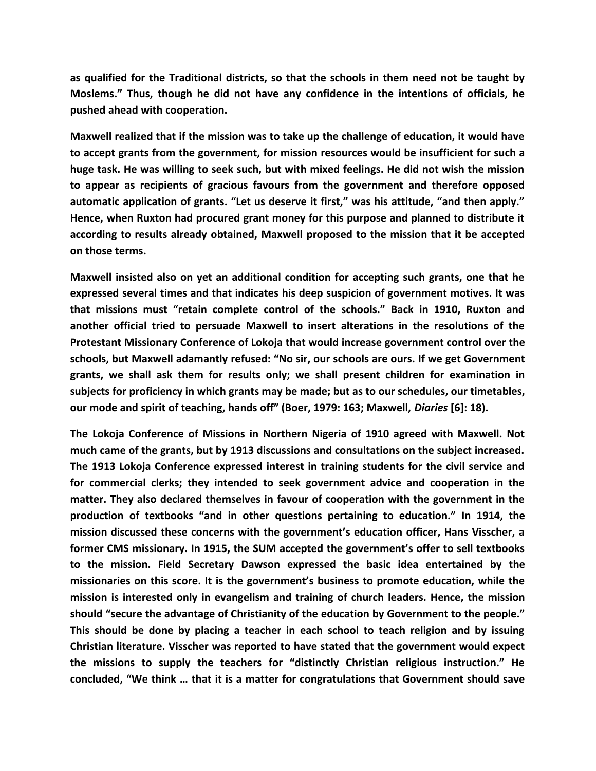**as qualified for the Traditional districts, so that the schools in them need not be taught by Moslems." Thus, though he did not have any confidence in the intentions of officials, he pushed ahead with cooperation.**

**Maxwell realized that if the mission was to take up the challenge of education, it would have to accept grants from the government, for mission resources would be insufficient for such a huge task. He was willing to seek such, but with mixed feelings. He did not wish the mission to appear as recipients of gracious favours from the government and therefore opposed automatic application of grants. "Let us deserve it first," was his attitude, "and then apply." Hence, when Ruxton had procured grant money for this purpose and planned to distribute it according to results already obtained, Maxwell proposed to the mission that it be accepted on those terms.**

**Maxwell insisted also on yet an additional condition for accepting such grants, one that he expressed several times and that indicates his deep suspicion of government motives. It was that missions must "retain complete control of the schools." Back in 1910, Ruxton and another official tried to persuade Maxwell to insert alterations in the resolutions of the Protestant Missionary Conference of Lokoja that would increase government control over the schools, but Maxwell adamantly refused: "No sir, our schools are ours. If we get Government grants, we shall ask them for results only; we shall present children for examination in subjects for proficiency in which grants may be made; but as to our schedules, our timetables, our mode and spirit of teaching, hands off" (Boer, 1979: 163; Maxwell,** *Diaries* **[6]: 18).**

**The Lokoja Conference of Missions in Northern Nigeria of 1910 agreed with Maxwell. Not much came of the grants, but by 1913 discussions and consultations on the subject increased. The 1913 Lokoja Conference expressed interest in training students for the civil service and for commercial clerks; they intended to seek government advice and cooperation in the matter. They also declared themselves in favour of cooperation with the government in the production of textbooks "and in other questions pertaining to education." In 1914, the mission discussed these concerns with the government's education officer, Hans Visscher, a former CMS missionary. In 1915, the SUM accepted the government's offer to sell textbooks to the mission. Field Secretary Dawson expressed the basic idea entertained by the missionaries on this score. It is the government's business to promote education, while the mission is interested only in evangelism and training of church leaders. Hence, the mission should "secure the advantage of Christianity of the education by Government to the people." This should be done by placing a teacher in each school to teach religion and by issuing Christian literature. Visscher was reported to have stated that the government would expect the missions to supply the teachers for "distinctly Christian religious instruction." He concluded, "We think … that it is a matter for congratulations that Government should save**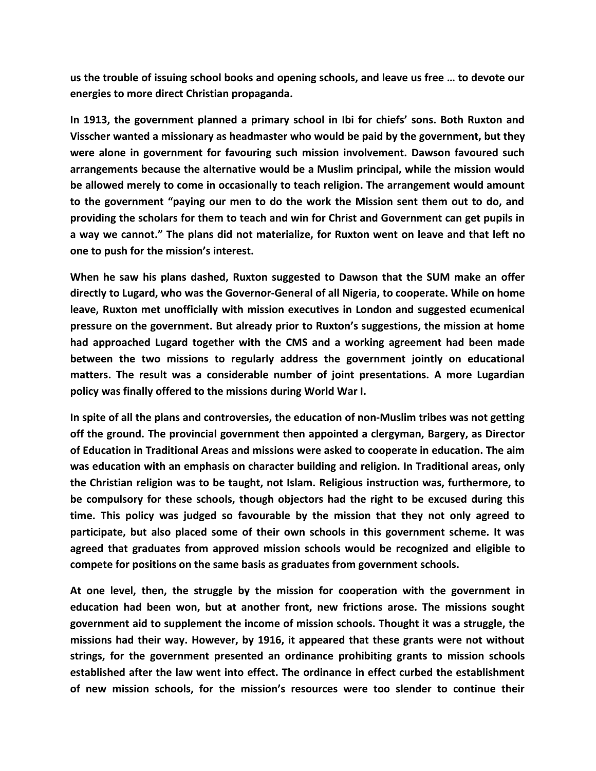**us the trouble of issuing school books and opening schools, and leave us free … to devote our energies to more direct Christian propaganda.**

**In 1913, the government planned a primary school in Ibi for chiefs' sons. Both Ruxton and Visscher wanted a missionary as headmaster who would be paid by the government, but they were alone in government for favouring such mission involvement. Dawson favoured such arrangements because the alternative would be a Muslim principal, while the mission would be allowed merely to come in occasionally to teach religion. The arrangement would amount to the government "paying our men to do the work the Mission sent them out to do, and providing the scholars for them to teach and win for Christ and Government can get pupils in a way we cannot." The plans did not materialize, for Ruxton went on leave and that left no one to push for the mission's interest.**

**When he saw his plans dashed, Ruxton suggested to Dawson that the SUM make an offer directly to Lugard, who was the Governor-General of all Nigeria, to cooperate. While on home leave, Ruxton met unofficially with mission executives in London and suggested ecumenical pressure on the government. But already prior to Ruxton's suggestions, the mission at home had approached Lugard together with the CMS and a working agreement had been made between the two missions to regularly address the government jointly on educational matters. The result was a considerable number of joint presentations. A more Lugardian policy was finally offered to the missions during World War I.**

**In spite of all the plans and controversies, the education of non-Muslim tribes was not getting off the ground. The provincial government then appointed a clergyman, Bargery, as Director of Education in Traditional Areas and missions were asked to cooperate in education. The aim was education with an emphasis on character building and religion. In Traditional areas, only the Christian religion was to be taught, not Islam. Religious instruction was, furthermore, to be compulsory for these schools, though objectors had the right to be excused during this time. This policy was judged so favourable by the mission that they not only agreed to participate, but also placed some of their own schools in this government scheme. It was agreed that graduates from approved mission schools would be recognized and eligible to compete for positions on the same basis as graduates from government schools.**

**At one level, then, the struggle by the mission for cooperation with the government in education had been won, but at another front, new frictions arose. The missions sought government aid to supplement the income of mission schools. Thought it was a struggle, the missions had their way. However, by 1916, it appeared that these grants were not without strings, for the government presented an ordinance prohibiting grants to mission schools established after the law went into effect. The ordinance in effect curbed the establishment of new mission schools, for the mission's resources were too slender to continue their**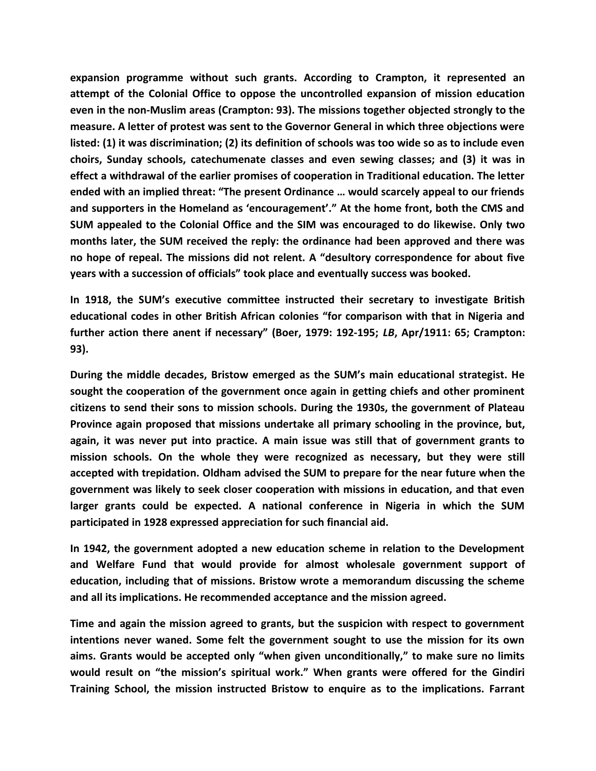**expansion programme without such grants. According to Crampton, it represented an attempt of the Colonial Office to oppose the uncontrolled expansion of mission education even in the non-Muslim areas (Crampton: 93). The missions together objected strongly to the measure. A letter of protest was sent to the Governor General in which three objections were listed: (1) it was discrimination; (2) its definition of schools was too wide so as to include even choirs, Sunday schools, catechumenate classes and even sewing classes; and (3) it was in effect a withdrawal of the earlier promises of cooperation in Traditional education. The letter ended with an implied threat: "The present Ordinance … would scarcely appeal to our friends and supporters in the Homeland as 'encouragement'." At the home front, both the CMS and SUM appealed to the Colonial Office and the SIM was encouraged to do likewise. Only two months later, the SUM received the reply: the ordinance had been approved and there was no hope of repeal. The missions did not relent. A "desultory correspondence for about five years with a succession of officials" took place and eventually success was booked.**

**In 1918, the SUM's executive committee instructed their secretary to investigate British educational codes in other British African colonies "for comparison with that in Nigeria and further action there anent if necessary" (Boer, 1979: 192-195;** *LB***, Apr/1911: 65; Crampton: 93).**

**During the middle decades, Bristow emerged as the SUM's main educational strategist. He sought the cooperation of the government once again in getting chiefs and other prominent citizens to send their sons to mission schools. During the 1930s, the government of Plateau Province again proposed that missions undertake all primary schooling in the province, but, again, it was never put into practice. A main issue was still that of government grants to mission schools. On the whole they were recognized as necessary, but they were still accepted with trepidation. Oldham advised the SUM to prepare for the near future when the government was likely to seek closer cooperation with missions in education, and that even larger grants could be expected. A national conference in Nigeria in which the SUM participated in 1928 expressed appreciation for such financial aid.**

**In 1942, the government adopted a new education scheme in relation to the Development and Welfare Fund that would provide for almost wholesale government support of education, including that of missions. Bristow wrote a memorandum discussing the scheme and all its implications. He recommended acceptance and the mission agreed.**

**Time and again the mission agreed to grants, but the suspicion with respect to government intentions never waned. Some felt the government sought to use the mission for its own aims. Grants would be accepted only "when given unconditionally," to make sure no limits would result on "the mission's spiritual work." When grants were offered for the Gindiri Training School, the mission instructed Bristow to enquire as to the implications. Farrant**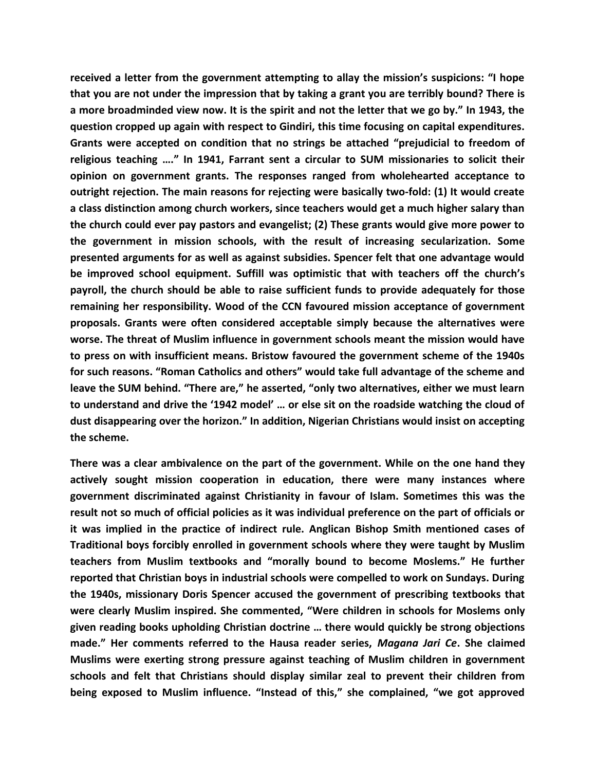**received a letter from the government attempting to allay the mission's suspicions: "I hope that you are not under the impression that by taking a grant you are terribly bound? There is a more broadminded view now. It is the spirit and not the letter that we go by." In 1943, the question cropped up again with respect to Gindiri, this time focusing on capital expenditures. Grants were accepted on condition that no strings be attached "prejudicial to freedom of religious teaching …." In 1941, Farrant sent a circular to SUM missionaries to solicit their opinion on government grants. The responses ranged from wholehearted acceptance to outright rejection. The main reasons for rejecting were basically two-fold: (1) It would create a class distinction among church workers, since teachers would get a much higher salary than the church could ever pay pastors and evangelist; (2) These grants would give more power to the government in mission schools, with the result of increasing secularization. Some presented arguments for as well as against subsidies. Spencer felt that one advantage would be improved school equipment. Suffill was optimistic that with teachers off the church's payroll, the church should be able to raise sufficient funds to provide adequately for those remaining her responsibility. Wood of the CCN favoured mission acceptance of government proposals. Grants were often considered acceptable simply because the alternatives were worse. The threat of Muslim influence in government schools meant the mission would have to press on with insufficient means. Bristow favoured the government scheme of the 1940s for such reasons. "Roman Catholics and others" would take full advantage of the scheme and leave the SUM behind. "There are," he asserted, "only two alternatives, either we must learn to understand and drive the '1942 model' … or else sit on the roadside watching the cloud of dust disappearing over the horizon." In addition, Nigerian Christians would insist on accepting the scheme.**

**There was a clear ambivalence on the part of the government. While on the one hand they actively sought mission cooperation in education, there were many instances where government discriminated against Christianity in favour of Islam. Sometimes this was the result not so much of official policies as it was individual preference on the part of officials or it was implied in the practice of indirect rule. Anglican Bishop Smith mentioned cases of Traditional boys forcibly enrolled in government schools where they were taught by Muslim teachers from Muslim textbooks and "morally bound to become Moslems." He further reported that Christian boys in industrial schools were compelled to work on Sundays. During the 1940s, missionary Doris Spencer accused the government of prescribing textbooks that were clearly Muslim inspired. She commented, "Were children in schools for Moslems only given reading books upholding Christian doctrine … there would quickly be strong objections made." Her comments referred to the Hausa reader series,** *Magana Jari Ce***. She claimed Muslims were exerting strong pressure against teaching of Muslim children in government schools and felt that Christians should display similar zeal to prevent their children from being exposed to Muslim influence. "Instead of this," she complained, "we got approved**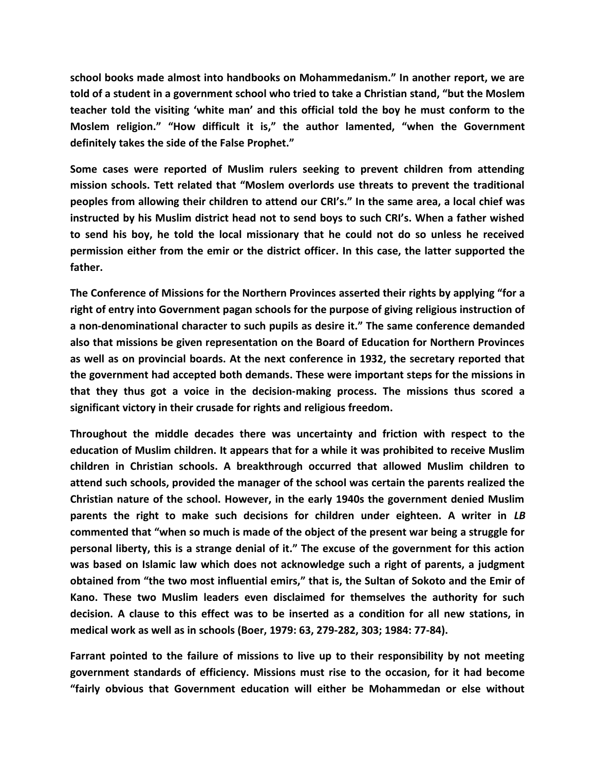**school books made almost into handbooks on Mohammedanism." In another report, we are told of a student in a government school who tried to take a Christian stand, "but the Moslem teacher told the visiting 'white man' and this official told the boy he must conform to the Moslem religion." "How difficult it is," the author lamented, "when the Government definitely takes the side of the False Prophet."**

**Some cases were reported of Muslim rulers seeking to prevent children from attending mission schools. Tett related that "Moslem overlords use threats to prevent the traditional peoples from allowing their children to attend our CRI's." In the same area, a local chief was instructed by his Muslim district head not to send boys to such CRI's. When a father wished to send his boy, he told the local missionary that he could not do so unless he received permission either from the emir or the district officer. In this case, the latter supported the father.**

**The Conference of Missions for the Northern Provinces asserted their rights by applying "for a right of entry into Government pagan schools for the purpose of giving religious instruction of a non-denominational character to such pupils as desire it." The same conference demanded also that missions be given representation on the Board of Education for Northern Provinces as well as on provincial boards. At the next conference in 1932, the secretary reported that the government had accepted both demands. These were important steps for the missions in that they thus got a voice in the decision-making process. The missions thus scored a significant victory in their crusade for rights and religious freedom.**

**Throughout the middle decades there was uncertainty and friction with respect to the education of Muslim children. It appears that for a while it was prohibited to receive Muslim children in Christian schools. A breakthrough occurred that allowed Muslim children to attend such schools, provided the manager of the school was certain the parents realized the Christian nature of the school. However, in the early 1940s the government denied Muslim** parents the right to make such decisions for children under eighteen. A writer in LB **commented that "when so much is made of the object of the present war being a struggle for personal liberty, this is a strange denial of it." The excuse of the government for this action was based on Islamic law which does not acknowledge such a right of parents, a judgment obtained from "the two most influential emirs," that is, the Sultan of Sokoto and the Emir of Kano. These two Muslim leaders even disclaimed for themselves the authority for such decision. A clause to this effect was to be inserted as a condition for all new stations, in medical work as well as in schools (Boer, 1979: 63, 279-282, 303; 1984: 77-84).**

**Farrant pointed to the failure of missions to live up to their responsibility by not meeting government standards of efficiency. Missions must rise to the occasion, for it had become "fairly obvious that Government education will either be Mohammedan or else without**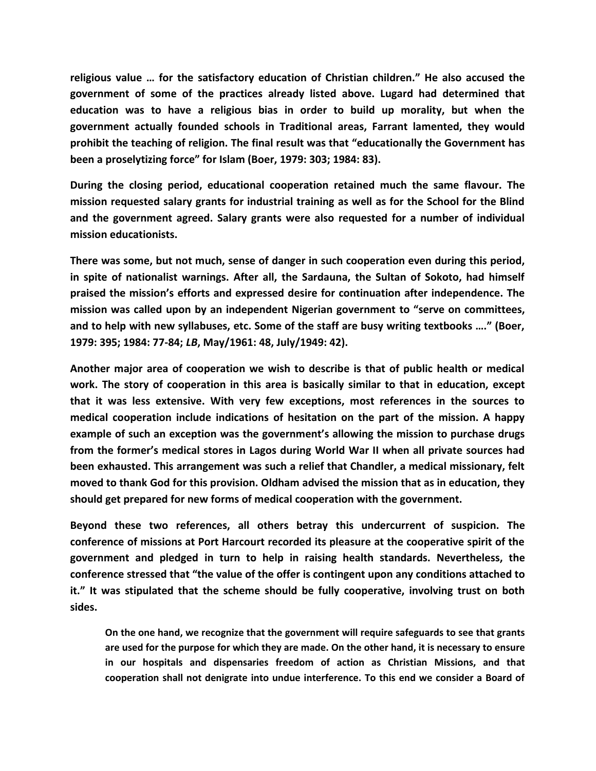**religious value … for the satisfactory education of Christian children." He also accused the government of some of the practices already listed above. Lugard had determined that education was to have a religious bias in order to build up morality, but when the government actually founded schools in Traditional areas, Farrant lamented, they would prohibit the teaching of religion. The final result was that "educationally the Government has been a proselytizing force" for Islam (Boer, 1979: 303; 1984: 83).**

**During the closing period, educational cooperation retained much the same flavour. The mission requested salary grants for industrial training as well as for the School for the Blind and the government agreed. Salary grants were also requested for a number of individual mission educationists.**

**There was some, but not much, sense of danger in such cooperation even during this period, in spite of nationalist warnings. After all, the Sardauna, the Sultan of Sokoto, had himself praised the mission's efforts and expressed desire for continuation after independence. The mission was called upon by an independent Nigerian government to "serve on committees, and to help with new syllabuses, etc. Some of the staff are busy writing textbooks …." (Boer, 1979: 395; 1984: 77-84;** *LB***, May/1961: 48, July/1949: 42).**

**Another major area of cooperation we wish to describe is that of public health or medical work. The story of cooperation in this area is basically similar to that in education, except that it was less extensive. With very few exceptions, most references in the sources to medical cooperation include indications of hesitation on the part of the mission. A happy example of such an exception was the government's allowing the mission to purchase drugs from the former's medical stores in Lagos during World War II when all private sources had been exhausted. This arrangement was such a relief that Chandler, a medical missionary, felt moved to thank God for this provision. Oldham advised the mission that as in education, they should get prepared for new forms of medical cooperation with the government.**

**Beyond these two references, all others betray this undercurrent of suspicion. The conference of missions at Port Harcourt recorded its pleasure at the cooperative spirit of the government and pledged in turn to help in raising health standards. Nevertheless, the conference stressed that "the value of the offer is contingent upon any conditions attached to it." It was stipulated that the scheme should be fully cooperative, involving trust on both sides.**

**On the one hand, we recognize that the government will require safeguards to see that grants are used for the purpose for which they are made. On the other hand, it is necessary to ensure in our hospitals and dispensaries freedom of action as Christian Missions, and that cooperation shall not denigrate into undue interference. To this end we consider a Board of**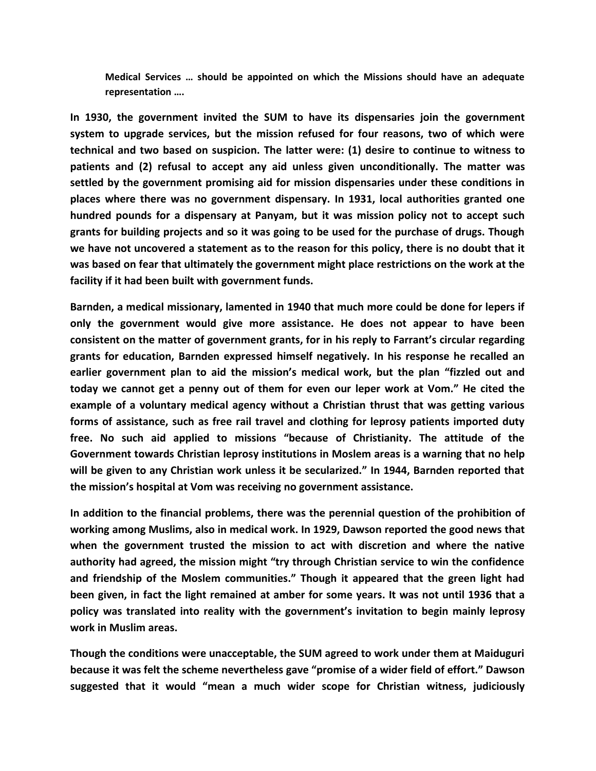**Medical Services … should be appointed on which the Missions should have an adequate representation ….**

**In 1930, the government invited the SUM to have its dispensaries join the government system to upgrade services, but the mission refused for four reasons, two of which were technical and two based on suspicion. The latter were: (1) desire to continue to witness to patients and (2) refusal to accept any aid unless given unconditionally. The matter was settled by the government promising aid for mission dispensaries under these conditions in places where there was no government dispensary. In 1931, local authorities granted one hundred pounds for a dispensary at Panyam, but it was mission policy not to accept such grants for building projects and so it was going to be used for the purchase of drugs. Though we have not uncovered a statement as to the reason for this policy, there is no doubt that it was based on fear that ultimately the government might place restrictions on the work at the facility if it had been built with government funds.**

**Barnden, a medical missionary, lamented in 1940 that much more could be done for lepers if only the government would give more assistance. He does not appear to have been consistent on the matter of government grants, for in his reply to Farrant's circular regarding grants for education, Barnden expressed himself negatively. In his response he recalled an earlier government plan to aid the mission's medical work, but the plan "fizzled out and today we cannot get a penny out of them for even our leper work at Vom." He cited the example of a voluntary medical agency without a Christian thrust that was getting various forms of assistance, such as free rail travel and clothing for leprosy patients imported duty free. No such aid applied to missions "because of Christianity. The attitude of the Government towards Christian leprosy institutions in Moslem areas is a warning that no help will be given to any Christian work unless it be secularized." In 1944, Barnden reported that the mission's hospital at Vom was receiving no government assistance.**

**In addition to the financial problems, there was the perennial question of the prohibition of working among Muslims, also in medical work. In 1929, Dawson reported the good news that when the government trusted the mission to act with discretion and where the native authority had agreed, the mission might "try through Christian service to win the confidence and friendship of the Moslem communities." Though it appeared that the green light had been given, in fact the light remained at amber for some years. It was not until 1936 that a policy was translated into reality with the government's invitation to begin mainly leprosy work in Muslim areas.**

**Though the conditions were unacceptable, the SUM agreed to work under them at Maiduguri because it was felt the scheme nevertheless gave "promise of a wider field of effort." Dawson suggested that it would "mean a much wider scope for Christian witness, judiciously**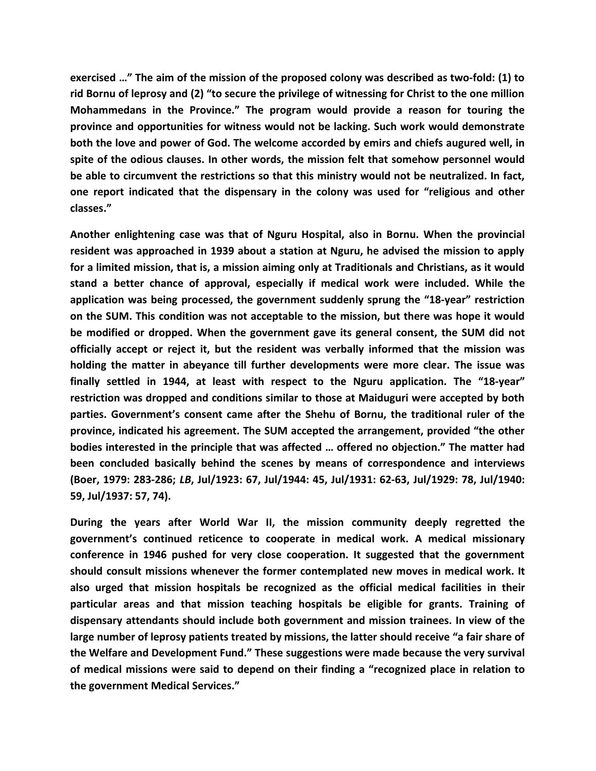**exercised …" The aim of the mission of the proposed colony was described as two-fold: (1) to rid Bornu of leprosy and (2) "to secure the privilege of witnessing for Christ to the one million Mohammedans in the Province." The program would provide a reason for touring the province and opportunities for witness would not be lacking. Such work would demonstrate both the love and power of God. The welcome accorded by emirs and chiefs augured well, in spite of the odious clauses. In other words, the mission felt that somehow personnel would be able to circumvent the restrictions so that this ministry would not be neutralized. In fact, one report indicated that the dispensary in the colony was used for "religious and other classes."**

**Another enlightening case was that of Nguru Hospital, also in Bornu. When the provincial resident was approached in 1939 about a station at Nguru, he advised the mission to apply for a limited mission, that is, a mission aiming only at Traditionals and Christians, as it would stand a better chance of approval, especially if medical work were included. While the application was being processed, the government suddenly sprung the "18-year" restriction on the SUM. This condition was not acceptable to the mission, but there was hope it would be modified or dropped. When the government gave its general consent, the SUM did not officially accept or reject it, but the resident was verbally informed that the mission was holding the matter in abeyance till further developments were more clear. The issue was finally settled in 1944, at least with respect to the Nguru application. The "18-year" restriction was dropped and conditions similar to those at Maiduguri were accepted by both parties. Government's consent came after the Shehu of Bornu, the traditional ruler of the province, indicated his agreement. The SUM accepted the arrangement, provided "the other bodies interested in the principle that was affected … offered no objection." The matter had been concluded basically behind the scenes by means of correspondence and interviews (Boer, 1979: 283-286;** *LB***, Jul/1923: 67, Jul/1944: 45, Jul/1931: 62-63, Jul/1929: 78, Jul/1940: 59, Jul/1937: 57, 74).**

**During the years after World War II, the mission community deeply regretted the government's continued reticence to cooperate in medical work. A medical missionary conference in 1946 pushed for very close cooperation. It suggested that the government should consult missions whenever the former contemplated new moves in medical work. It also urged that mission hospitals be recognized as the official medical facilities in their particular areas and that mission teaching hospitals be eligible for grants. Training of dispensary attendants should include both government and mission trainees. In view of the large number of leprosy patients treated by missions, the latter should receive "a fair share of the Welfare and Development Fund." These suggestions were made because the very survival of medical missions were said to depend on their finding a "recognized place in relation to the government Medical Services."**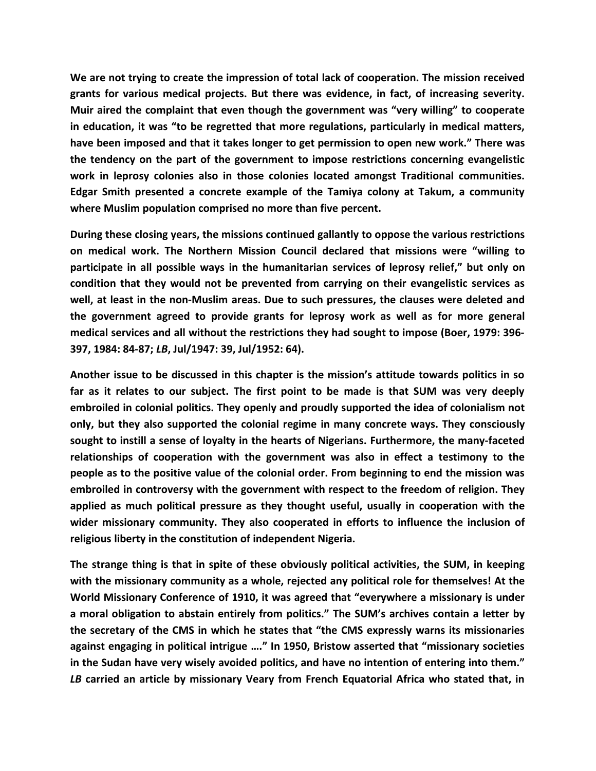**We are not trying to create the impression of total lack of cooperation. The mission received grants for various medical projects. But there was evidence, in fact, of increasing severity. Muir aired the complaint that even though the government was "very willing" to cooperate in education, it was "to be regretted that more regulations, particularly in medical matters, have been imposed and that it takes longer to get permission to open new work." There was the tendency on the part of the government to impose restrictions concerning evangelistic work in leprosy colonies also in those colonies located amongst Traditional communities. Edgar Smith presented a concrete example of the Tamiya colony at Takum, a community where Muslim population comprised no more than five percent.** 

**During these closing years, the missions continued gallantly to oppose the various restrictions on medical work. The Northern Mission Council declared that missions were "willing to participate in all possible ways in the humanitarian services of leprosy relief," but only on condition that they would not be prevented from carrying on their evangelistic services as well, at least in the non-Muslim areas. Due to such pressures, the clauses were deleted and the government agreed to provide grants for leprosy work as well as for more general medical services and all without the restrictions they had sought to impose (Boer, 1979: 396- 397, 1984: 84-87;** *LB***, Jul/1947: 39, Jul/1952: 64).**

**Another issue to be discussed in this chapter is the mission's attitude towards politics in so far as it relates to our subject. The first point to be made is that SUM was very deeply embroiled in colonial politics. They openly and proudly supported the idea of colonialism not only, but they also supported the colonial regime in many concrete ways. They consciously sought to instill a sense of loyalty in the hearts of Nigerians. Furthermore, the many-faceted relationships of cooperation with the government was also in effect a testimony to the people as to the positive value of the colonial order. From beginning to end the mission was embroiled in controversy with the government with respect to the freedom of religion. They applied as much political pressure as they thought useful, usually in cooperation with the wider missionary community. They also cooperated in efforts to influence the inclusion of religious liberty in the constitution of independent Nigeria.**

**The strange thing is that in spite of these obviously political activities, the SUM, in keeping with the missionary community as a whole, rejected any political role for themselves! At the World Missionary Conference of 1910, it was agreed that "everywhere a missionary is under a moral obligation to abstain entirely from politics." The SUM's archives contain a letter by the secretary of the CMS in which he states that "the CMS expressly warns its missionaries against engaging in political intrigue …." In 1950, Bristow asserted that "missionary societies in the Sudan have very wisely avoided politics, and have no intention of entering into them."** *LB* **carried an article by missionary Veary from French Equatorial Africa who stated that, in**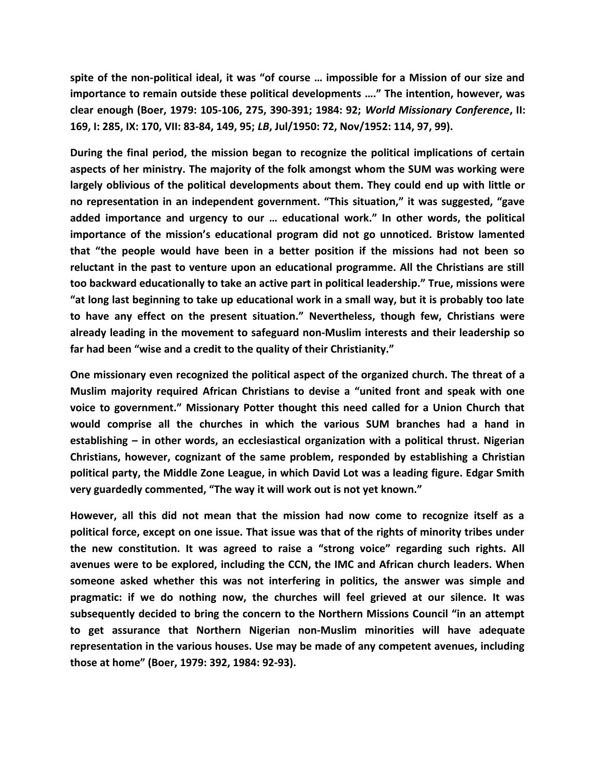**spite of the non-political ideal, it was "of course … impossible for a Mission of our size and importance to remain outside these political developments …." The intention, however, was clear enough (Boer, 1979: 105-106, 275, 390-391; 1984: 92;** *World Missionary Conference***, II: 169, I: 285, IX: 170, VII: 83-84, 149, 95;** *LB***, Jul/1950: 72, Nov/1952: 114, 97, 99).**

**During the final period, the mission began to recognize the political implications of certain aspects of her ministry. The majority of the folk amongst whom the SUM was working were largely oblivious of the political developments about them. They could end up with little or no representation in an independent government. "This situation," it was suggested, "gave added importance and urgency to our … educational work." In other words, the political importance of the mission's educational program did not go unnoticed. Bristow lamented that "the people would have been in a better position if the missions had not been so reluctant in the past to venture upon an educational programme. All the Christians are still too backward educationally to take an active part in political leadership." True, missions were "at long last beginning to take up educational work in a small way, but it is probably too late to have any effect on the present situation." Nevertheless, though few, Christians were already leading in the movement to safeguard non-Muslim interests and their leadership so far had been "wise and a credit to the quality of their Christianity."**

**One missionary even recognized the political aspect of the organized church. The threat of a Muslim majority required African Christians to devise a "united front and speak with one voice to government." Missionary Potter thought this need called for a Union Church that would comprise all the churches in which the various SUM branches had a hand in establishing – in other words, an ecclesiastical organization with a political thrust. Nigerian Christians, however, cognizant of the same problem, responded by establishing a Christian political party, the Middle Zone League, in which David Lot was a leading figure. Edgar Smith very guardedly commented, "The way it will work out is not yet known."**

**However, all this did not mean that the mission had now come to recognize itself as a political force, except on one issue. That issue was that of the rights of minority tribes under the new constitution. It was agreed to raise a "strong voice" regarding such rights. All avenues were to be explored, including the CCN, the IMC and African church leaders. When someone asked whether this was not interfering in politics, the answer was simple and pragmatic: if we do nothing now, the churches will feel grieved at our silence. It was subsequently decided to bring the concern to the Northern Missions Council "in an attempt to get assurance that Northern Nigerian non-Muslim minorities will have adequate representation in the various houses. Use may be made of any competent avenues, including those at home" (Boer, 1979: 392, 1984: 92-93).**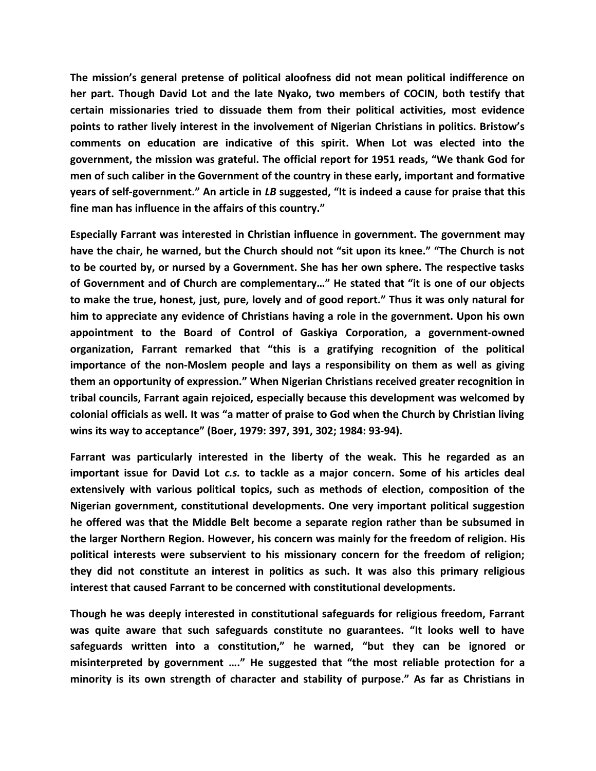**The mission's general pretense of political aloofness did not mean political indifference on her part. Though David Lot and the late Nyako, two members of COCIN, both testify that certain missionaries tried to dissuade them from their political activities, most evidence points to rather lively interest in the involvement of Nigerian Christians in politics. Bristow's comments on education are indicative of this spirit. When Lot was elected into the government, the mission was grateful. The official report for 1951 reads, "We thank God for men of such caliber in the Government of the country in these early, important and formative years of self-government." An article in** *LB* **suggested, "It is indeed a cause for praise that this fine man has influence in the affairs of this country."**

**Especially Farrant was interested in Christian influence in government. The government may have the chair, he warned, but the Church should not "sit upon its knee." "The Church is not to be courted by, or nursed by a Government. She has her own sphere. The respective tasks of Government and of Church are complementary…" He stated that "it is one of our objects to make the true, honest, just, pure, lovely and of good report." Thus it was only natural for him to appreciate any evidence of Christians having a role in the government. Upon his own appointment to the Board of Control of Gaskiya Corporation, a government-owned organization, Farrant remarked that "this is a gratifying recognition of the political importance of the non-Moslem people and lays a responsibility on them as well as giving them an opportunity of expression." When Nigerian Christians received greater recognition in tribal councils, Farrant again rejoiced, especially because this development was welcomed by colonial officials as well. It was "a matter of praise to God when the Church by Christian living wins its way to acceptance" (Boer, 1979: 397, 391, 302; 1984: 93-94).**

**Farrant was particularly interested in the liberty of the weak. This he regarded as an important issue for David Lot** *c.s.* **to tackle as a major concern. Some of his articles deal extensively with various political topics, such as methods of election, composition of the Nigerian government, constitutional developments. One very important political suggestion he offered was that the Middle Belt become a separate region rather than be subsumed in the larger Northern Region. However, his concern was mainly for the freedom of religion. His political interests were subservient to his missionary concern for the freedom of religion; they did not constitute an interest in politics as such. It was also this primary religious interest that caused Farrant to be concerned with constitutional developments.**

**Though he was deeply interested in constitutional safeguards for religious freedom, Farrant was quite aware that such safeguards constitute no guarantees. "It looks well to have safeguards written into a constitution," he warned, "but they can be ignored or misinterpreted by government …." He suggested that "the most reliable protection for a minority is its own strength of character and stability of purpose." As far as Christians in**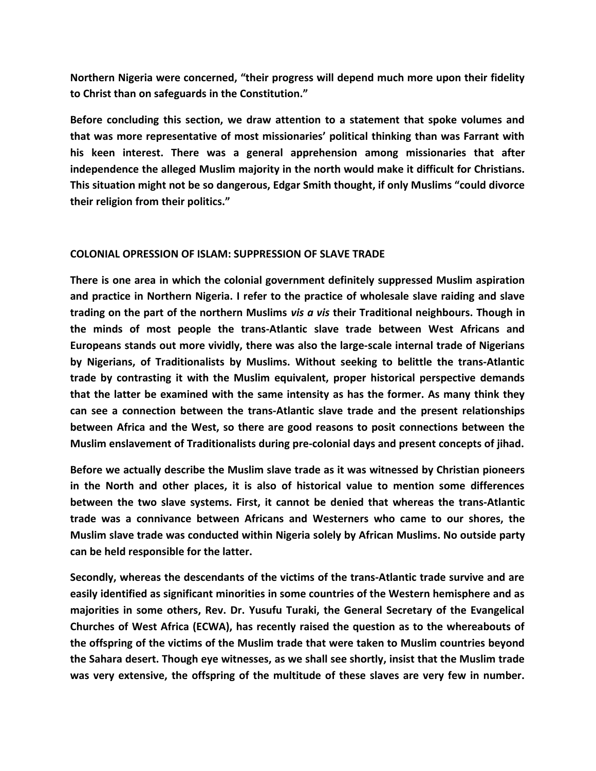**Northern Nigeria were concerned, "their progress will depend much more upon their fidelity to Christ than on safeguards in the Constitution."**

**Before concluding this section, we draw attention to a statement that spoke volumes and that was more representative of most missionaries' political thinking than was Farrant with his keen interest. There was a general apprehension among missionaries that after independence the alleged Muslim majority in the north would make it difficult for Christians. This situation might not be so dangerous, Edgar Smith thought, if only Muslims "could divorce their religion from their politics."** 

#### **COLONIAL OPRESSION OF ISLAM: SUPPRESSION OF SLAVE TRADE**

**There is one area in which the colonial government definitely suppressed Muslim aspiration and practice in Northern Nigeria. I refer to the practice of wholesale slave raiding and slave trading on the part of the northern Muslims** *vis a vis* **their Traditional neighbours. Though in the minds of most people the trans-Atlantic slave trade between West Africans and Europeans stands out more vividly, there was also the large-scale internal trade of Nigerians by Nigerians, of Traditionalists by Muslims. Without seeking to belittle the trans-Atlantic trade by contrasting it with the Muslim equivalent, proper historical perspective demands that the latter be examined with the same intensity as has the former. As many think they can see a connection between the trans-Atlantic slave trade and the present relationships between Africa and the West, so there are good reasons to posit connections between the Muslim enslavement of Traditionalists during pre-colonial days and present concepts of jihad.**

**Before we actually describe the Muslim slave trade as it was witnessed by Christian pioneers in the North and other places, it is also of historical value to mention some differences between the two slave systems. First, it cannot be denied that whereas the trans-Atlantic trade was a connivance between Africans and Westerners who came to our shores, the Muslim slave trade was conducted within Nigeria solely by African Muslims. No outside party can be held responsible for the latter.**

**Secondly, whereas the descendants of the victims of the trans-Atlantic trade survive and are easily identified as significant minorities in some countries of the Western hemisphere and as majorities in some others, Rev. Dr. Yusufu Turaki, the General Secretary of the Evangelical Churches of West Africa (ECWA), has recently raised the question as to the whereabouts of the offspring of the victims of the Muslim trade that were taken to Muslim countries beyond the Sahara desert. Though eye witnesses, as we shall see shortly, insist that the Muslim trade was very extensive, the offspring of the multitude of these slaves are very few in number.**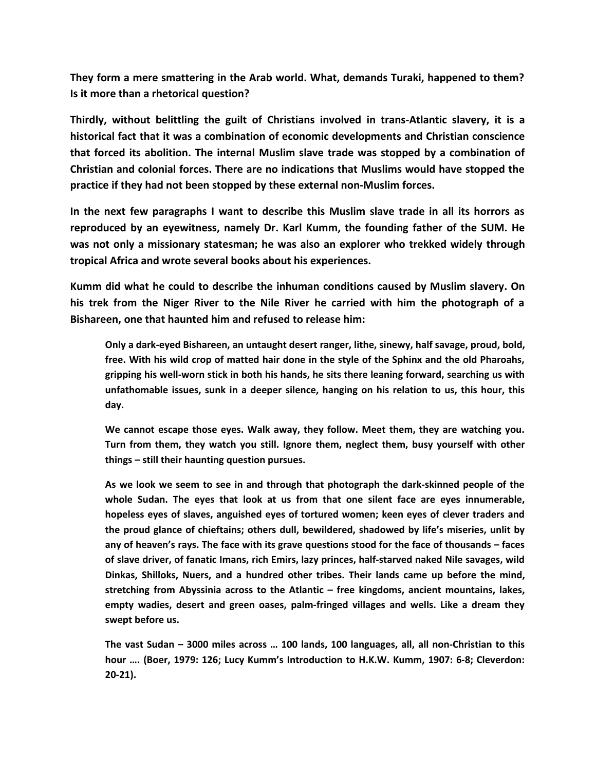**They form a mere smattering in the Arab world. What, demands Turaki, happened to them? Is it more than a rhetorical question?**

**Thirdly, without belittling the guilt of Christians involved in trans-Atlantic slavery, it is a historical fact that it was a combination of economic developments and Christian conscience that forced its abolition. The internal Muslim slave trade was stopped by a combination of Christian and colonial forces. There are no indications that Muslims would have stopped the practice if they had not been stopped by these external non-Muslim forces.**

**In the next few paragraphs I want to describe this Muslim slave trade in all its horrors as reproduced by an eyewitness, namely Dr. Karl Kumm, the founding father of the SUM. He was not only a missionary statesman; he was also an explorer who trekked widely through tropical Africa and wrote several books about his experiences.**

**Kumm did what he could to describe the inhuman conditions caused by Muslim slavery. On his trek from the Niger River to the Nile River he carried with him the photograph of a Bishareen, one that haunted him and refused to release him:**

**Only a dark-eyed Bishareen, an untaught desert ranger, lithe, sinewy, half savage, proud, bold, free. With his wild crop of matted hair done in the style of the Sphinx and the old Pharoahs, gripping his well-worn stick in both his hands, he sits there leaning forward, searching us with unfathomable issues, sunk in a deeper silence, hanging on his relation to us, this hour, this day.**

**We cannot escape those eyes. Walk away, they follow. Meet them, they are watching you. Turn from them, they watch you still. Ignore them, neglect them, busy yourself with other things – still their haunting question pursues.**

**As we look we seem to see in and through that photograph the dark-skinned people of the whole Sudan. The eyes that look at us from that one silent face are eyes innumerable, hopeless eyes of slaves, anguished eyes of tortured women; keen eyes of clever traders and the proud glance of chieftains; others dull, bewildered, shadowed by life's miseries, unlit by any of heaven's rays. The face with its grave questions stood for the face of thousands – faces of slave driver, of fanatic Imans, rich Emirs, lazy princes, half-starved naked Nile savages, wild Dinkas, Shilloks, Nuers, and a hundred other tribes. Their lands came up before the mind, stretching from Abyssinia across to the Atlantic – free kingdoms, ancient mountains, lakes, empty wadies, desert and green oases, palm-fringed villages and wells. Like a dream they swept before us.**

**The vast Sudan – 3000 miles across … 100 lands, 100 languages, all, all non-Christian to this hour …. (Boer, 1979: 126; Lucy Kumm's Introduction to H.K.W. Kumm, 1907: 6-8; Cleverdon: 20-21).**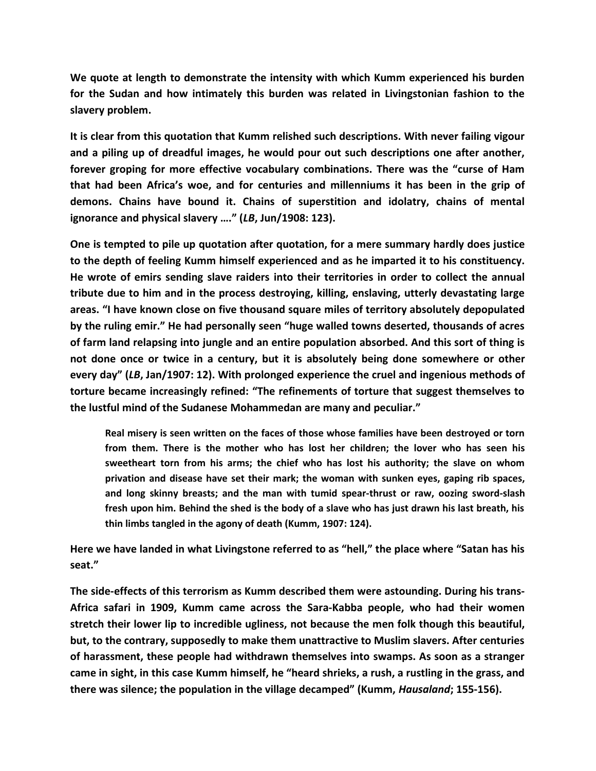**We quote at length to demonstrate the intensity with which Kumm experienced his burden for the Sudan and how intimately this burden was related in Livingstonian fashion to the slavery problem.**

**It is clear from this quotation that Kumm relished such descriptions. With never failing vigour and a piling up of dreadful images, he would pour out such descriptions one after another, forever groping for more effective vocabulary combinations. There was the "curse of Ham that had been Africa's woe, and for centuries and millenniums it has been in the grip of demons. Chains have bound it. Chains of superstition and idolatry, chains of mental ignorance and physical slavery …." (***LB***, Jun/1908: 123).**

**One is tempted to pile up quotation after quotation, for a mere summary hardly does justice to the depth of feeling Kumm himself experienced and as he imparted it to his constituency. He wrote of emirs sending slave raiders into their territories in order to collect the annual tribute due to him and in the process destroying, killing, enslaving, utterly devastating large areas. "I have known close on five thousand square miles of territory absolutely depopulated by the ruling emir." He had personally seen "huge walled towns deserted, thousands of acres of farm land relapsing into jungle and an entire population absorbed. And this sort of thing is not done once or twice in a century, but it is absolutely being done somewhere or other every day" (***LB***, Jan/1907: 12). With prolonged experience the cruel and ingenious methods of torture became increasingly refined: "The refinements of torture that suggest themselves to the lustful mind of the Sudanese Mohammedan are many and peculiar."**

**Real misery is seen written on the faces of those whose families have been destroyed or torn from them. There is the mother who has lost her children; the lover who has seen his sweetheart torn from his arms; the chief who has lost his authority; the slave on whom privation and disease have set their mark; the woman with sunken eyes, gaping rib spaces, and long skinny breasts; and the man with tumid spear-thrust or raw, oozing sword-slash fresh upon him. Behind the shed is the body of a slave who has just drawn his last breath, his thin limbs tangled in the agony of death (Kumm, 1907: 124).**

**Here we have landed in what Livingstone referred to as "hell," the place where "Satan has his seat."**

**The side-effects of this terrorism as Kumm described them were astounding. During his trans-Africa safari in 1909, Kumm came across the Sara-Kabba people, who had their women stretch their lower lip to incredible ugliness, not because the men folk though this beautiful, but, to the contrary, supposedly to make them unattractive to Muslim slavers. After centuries of harassment, these people had withdrawn themselves into swamps. As soon as a stranger came in sight, in this case Kumm himself, he "heard shrieks, a rush, a rustling in the grass, and there was silence; the population in the village decamped" (Kumm,** *Hausaland***; 155-156).**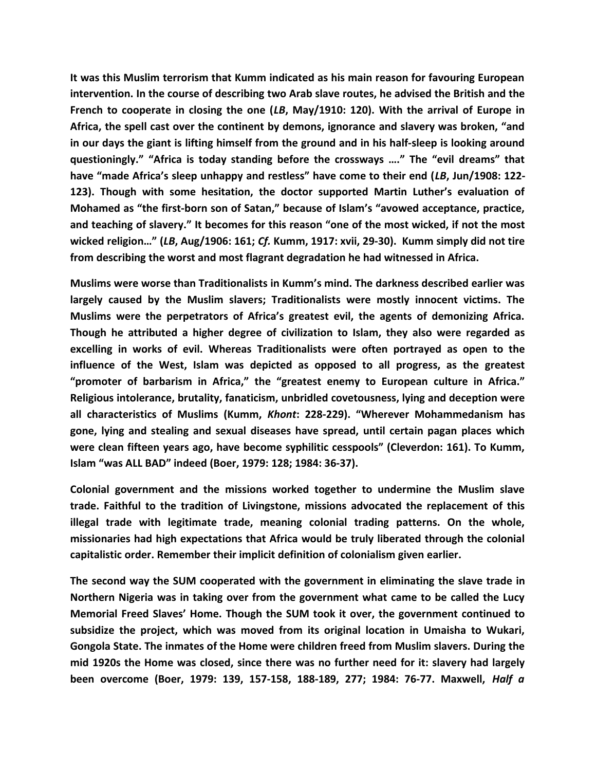**It was this Muslim terrorism that Kumm indicated as his main reason for favouring European intervention. In the course of describing two Arab slave routes, he advised the British and the French to cooperate in closing the one (***LB***, May/1910: 120). With the arrival of Europe in Africa, the spell cast over the continent by demons, ignorance and slavery was broken, "and in our days the giant is lifting himself from the ground and in his half-sleep is looking around questioningly." "Africa is today standing before the crossways …." The "evil dreams" that have "made Africa's sleep unhappy and restless" have come to their end (***LB***, Jun/1908: 122- 123). Though with some hesitation, the doctor supported Martin Luther's evaluation of Mohamed as "the first-born son of Satan," because of Islam's "avowed acceptance, practice, and teaching of slavery." It becomes for this reason "one of the most wicked, if not the most wicked religion…" (***LB***, Aug/1906: 161;** *Cf.* **Kumm, 1917: xvii, 29-30). Kumm simply did not tire from describing the worst and most flagrant degradation he had witnessed in Africa.**

**Muslims were worse than Traditionalists in Kumm's mind. The darkness described earlier was largely caused by the Muslim slavers; Traditionalists were mostly innocent victims. The Muslims were the perpetrators of Africa's greatest evil, the agents of demonizing Africa. Though he attributed a higher degree of civilization to Islam, they also were regarded as excelling in works of evil. Whereas Traditionalists were often portrayed as open to the influence of the West, Islam was depicted as opposed to all progress, as the greatest "promoter of barbarism in Africa," the "greatest enemy to European culture in Africa." Religious intolerance, brutality, fanaticism, unbridled covetousness, lying and deception were all characteristics of Muslims (Kumm,** *Khont***: 228-229). "Wherever Mohammedanism has gone, lying and stealing and sexual diseases have spread, until certain pagan places which were clean fifteen years ago, have become syphilitic cesspools" (Cleverdon: 161). To Kumm, Islam "was ALL BAD" indeed (Boer, 1979: 128; 1984: 36-37).**

**Colonial government and the missions worked together to undermine the Muslim slave trade. Faithful to the tradition of Livingstone, missions advocated the replacement of this illegal trade with legitimate trade, meaning colonial trading patterns. On the whole, missionaries had high expectations that Africa would be truly liberated through the colonial capitalistic order. Remember their implicit definition of colonialism given earlier.**

**The second way the SUM cooperated with the government in eliminating the slave trade in Northern Nigeria was in taking over from the government what came to be called the Lucy Memorial Freed Slaves' Home. Though the SUM took it over, the government continued to subsidize the project, which was moved from its original location in Umaisha to Wukari, Gongola State. The inmates of the Home were children freed from Muslim slavers. During the mid 1920s the Home was closed, since there was no further need for it: slavery had largely been overcome (Boer, 1979: 139, 157-158, 188-189, 277; 1984: 76-77. Maxwell,** *Half a*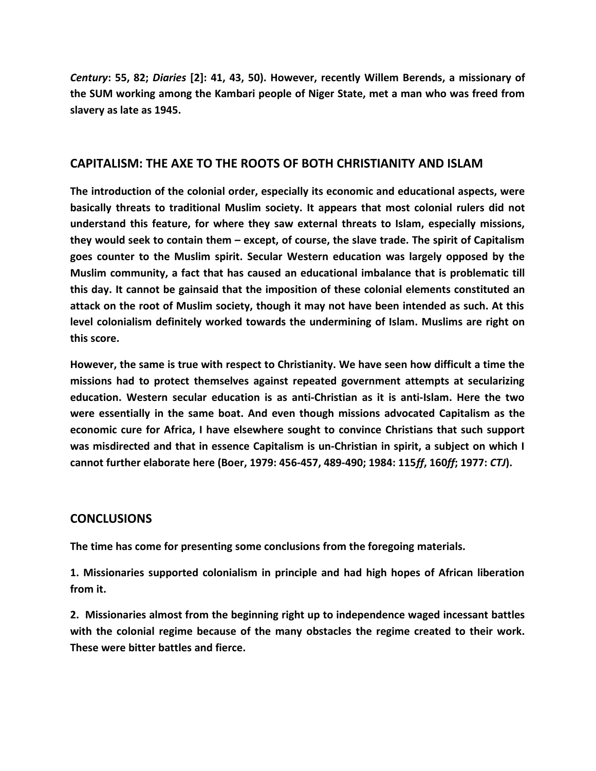*Century***: 55, 82;** *Diaries* **[2]: 41, 43, 50). However, recently Willem Berends, a missionary of the SUM working among the Kambari people of Niger State, met a man who was freed from slavery as late as 1945.**

#### **CAPITALISM: THE AXE TO THE ROOTS OF BOTH CHRISTIANITY AND ISLAM**

**The introduction of the colonial order, especially its economic and educational aspects, were basically threats to traditional Muslim society. It appears that most colonial rulers did not understand this feature, for where they saw external threats to Islam, especially missions, they would seek to contain them – except, of course, the slave trade. The spirit of Capitalism goes counter to the Muslim spirit. Secular Western education was largely opposed by the Muslim community, a fact that has caused an educational imbalance that is problematic till this day. It cannot be gainsaid that the imposition of these colonial elements constituted an attack on the root of Muslim society, though it may not have been intended as such. At this level colonialism definitely worked towards the undermining of Islam. Muslims are right on this score.**

**However, the same is true with respect to Christianity. We have seen how difficult a time the missions had to protect themselves against repeated government attempts at secularizing education. Western secular education is as anti-Christian as it is anti-Islam. Here the two were essentially in the same boat. And even though missions advocated Capitalism as the economic cure for Africa, I have elsewhere sought to convince Christians that such support was misdirected and that in essence Capitalism is un-Christian in spirit, a subject on which I cannot further elaborate here (Boer, 1979: 456-457, 489-490; 1984: 115***ff***, 160***ff***; 1977:** *CTJ***).**

## **CONCLUSIONS**

**The time has come for presenting some conclusions from the foregoing materials.**

**1. Missionaries supported colonialism in principle and had high hopes of African liberation from it.**

**2. Missionaries almost from the beginning right up to independence waged incessant battles with the colonial regime because of the many obstacles the regime created to their work. These were bitter battles and fierce.**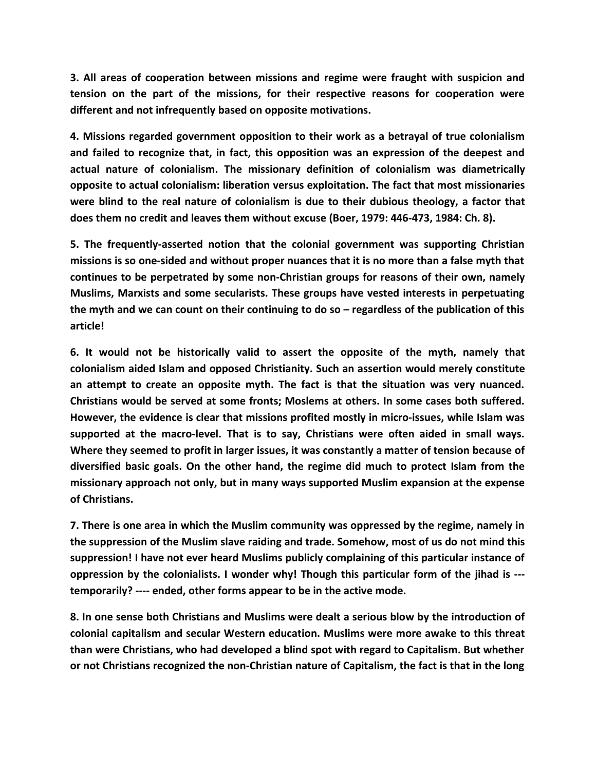**3. All areas of cooperation between missions and regime were fraught with suspicion and tension on the part of the missions, for their respective reasons for cooperation were different and not infrequently based on opposite motivations.**

**4. Missions regarded government opposition to their work as a betrayal of true colonialism and failed to recognize that, in fact, this opposition was an expression of the deepest and actual nature of colonialism. The missionary definition of colonialism was diametrically opposite to actual colonialism: liberation versus exploitation. The fact that most missionaries were blind to the real nature of colonialism is due to their dubious theology, a factor that does them no credit and leaves them without excuse (Boer, 1979: 446-473, 1984: Ch. 8).**

**5. The frequently-asserted notion that the colonial government was supporting Christian missions is so one-sided and without proper nuances that it is no more than a false myth that continues to be perpetrated by some non-Christian groups for reasons of their own, namely Muslims, Marxists and some secularists. These groups have vested interests in perpetuating the myth and we can count on their continuing to do so – regardless of the publication of this article!**

**6. It would not be historically valid to assert the opposite of the myth, namely that colonialism aided Islam and opposed Christianity. Such an assertion would merely constitute an attempt to create an opposite myth. The fact is that the situation was very nuanced. Christians would be served at some fronts; Moslems at others. In some cases both suffered. However, the evidence is clear that missions profited mostly in micro-issues, while Islam was supported at the macro-level. That is to say, Christians were often aided in small ways. Where they seemed to profit in larger issues, it was constantly a matter of tension because of diversified basic goals. On the other hand, the regime did much to protect Islam from the missionary approach not only, but in many ways supported Muslim expansion at the expense of Christians.**

**7. There is one area in which the Muslim community was oppressed by the regime, namely in the suppression of the Muslim slave raiding and trade. Somehow, most of us do not mind this suppression! I have not ever heard Muslims publicly complaining of this particular instance of oppression by the colonialists. I wonder why! Though this particular form of the jihad is -- temporarily? ---- ended, other forms appear to be in the active mode.**

**8. In one sense both Christians and Muslims were dealt a serious blow by the introduction of colonial capitalism and secular Western education. Muslims were more awake to this threat than were Christians, who had developed a blind spot with regard to Capitalism. But whether or not Christians recognized the non-Christian nature of Capitalism, the fact is that in the long**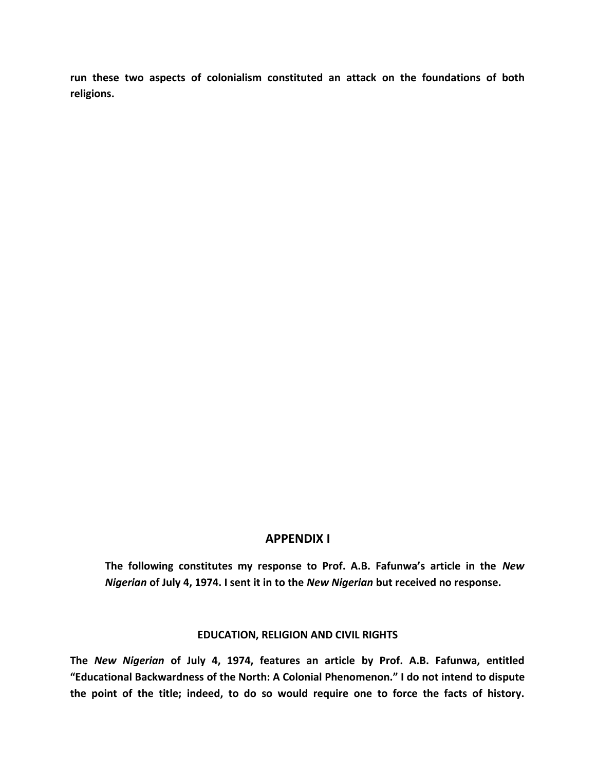**run these two aspects of colonialism constituted an attack on the foundations of both religions.**

#### **APPENDIX I**

**The following constitutes my response to Prof. A.B. Fafunwa's article in the** *New Nigerian* **of July 4, 1974. I sent it in to the** *New Nigerian* **but received no response.**

#### **EDUCATION, RELIGION AND CIVIL RIGHTS**

**The** *New Nigerian* **of July 4, 1974, features an article by Prof. A.B. Fafunwa, entitled "Educational Backwardness of the North: A Colonial Phenomenon." I do not intend to dispute the point of the title; indeed, to do so would require one to force the facts of history.**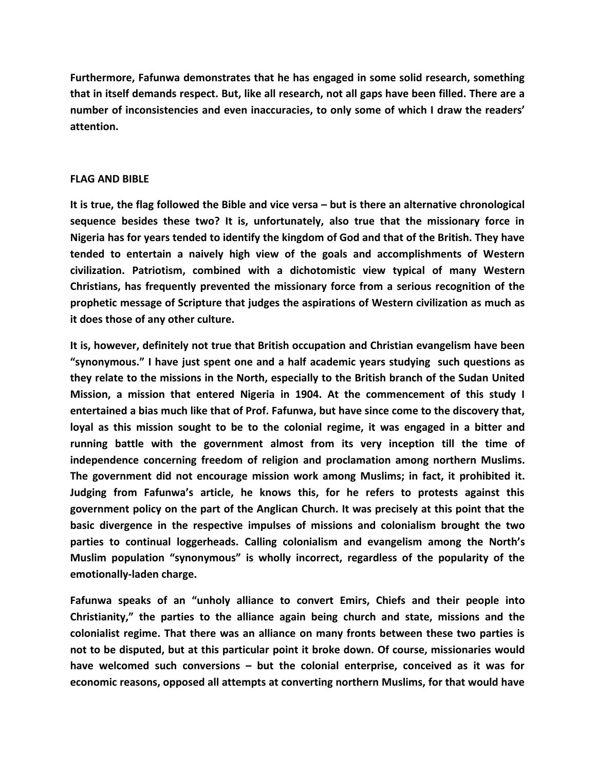**Furthermore, Fafunwa demonstrates that he has engaged in some solid research, something that in itself demands respect. But, like all research, not all gaps have been filled. There are a number of inconsistencies and even inaccuracies, to only some of which I draw the readers' attention.**

#### **FLAG AND BIBLE**

**It is true, the flag followed the Bible and vice versa – but is there an alternative chronological sequence besides these two? It is, unfortunately, also true that the missionary force in Nigeria has for years tended to identify the kingdom of God and that of the British. They have tended to entertain a naively high view of the goals and accomplishments of Western civilization. Patriotism, combined with a dichotomistic view typical of many Western Christians, has frequently prevented the missionary force from a serious recognition of the prophetic message of Scripture that judges the aspirations of Western civilization as much as it does those of any other culture.**

**It is, however, definitely not true that British occupation and Christian evangelism have been "synonymous." I have just spent one and a half academic years studying such questions as they relate to the missions in the North, especially to the British branch of the Sudan United Mission, a mission that entered Nigeria in 1904. At the commencement of this study I entertained a bias much like that of Prof. Fafunwa, but have since come to the discovery that, loyal as this mission sought to be to the colonial regime, it was engaged in a bitter and running battle with the government almost from its very inception till the time of independence concerning freedom of religion and proclamation among northern Muslims. The government did not encourage mission work among Muslims; in fact, it prohibited it. Judging from Fafunwa's article, he knows this, for he refers to protests against this government policy on the part of the Anglican Church. It was precisely at this point that the basic divergence in the respective impulses of missions and colonialism brought the two parties to continual loggerheads. Calling colonialism and evangelism among the North's Muslim population "synonymous" is wholly incorrect, regardless of the popularity of the emotionally-laden charge.**

**Fafunwa speaks of an "unholy alliance to convert Emirs, Chiefs and their people into Christianity," the parties to the alliance again being church and state, missions and the colonialist regime. That there was an alliance on many fronts between these two parties is not to be disputed, but at this particular point it broke down. Of course, missionaries would have welcomed such conversions – but the colonial enterprise, conceived as it was for economic reasons, opposed all attempts at converting northern Muslims, for that would have**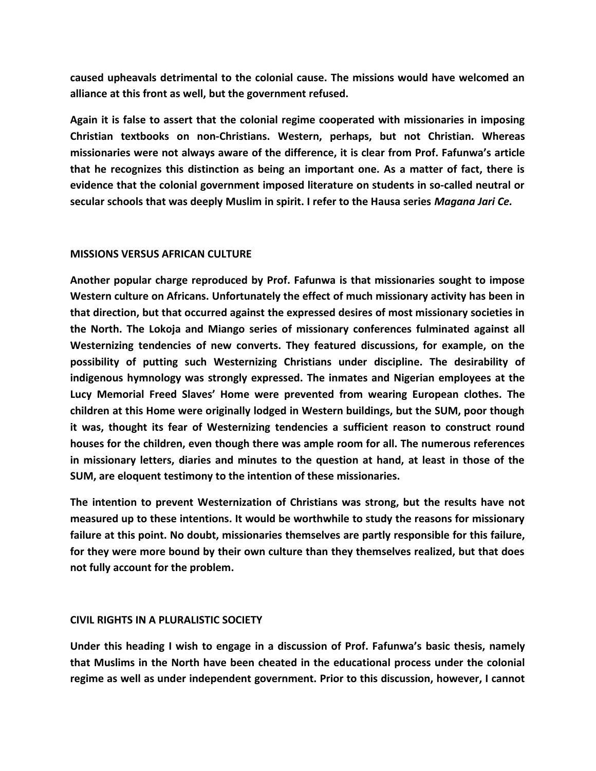**caused upheavals detrimental to the colonial cause. The missions would have welcomed an alliance at this front as well, but the government refused.**

**Again it is false to assert that the colonial regime cooperated with missionaries in imposing Christian textbooks on non-Christians. Western, perhaps, but not Christian. Whereas missionaries were not always aware of the difference, it is clear from Prof. Fafunwa's article that he recognizes this distinction as being an important one. As a matter of fact, there is evidence that the colonial government imposed literature on students in so-called neutral or secular schools that was deeply Muslim in spirit. I refer to the Hausa series** *Magana Jari Ce.*

#### **MISSIONS VERSUS AFRICAN CULTURE**

**Another popular charge reproduced by Prof. Fafunwa is that missionaries sought to impose Western culture on Africans. Unfortunately the effect of much missionary activity has been in that direction, but that occurred against the expressed desires of most missionary societies in the North. The Lokoja and Miango series of missionary conferences fulminated against all Westernizing tendencies of new converts. They featured discussions, for example, on the possibility of putting such Westernizing Christians under discipline. The desirability of indigenous hymnology was strongly expressed. The inmates and Nigerian employees at the Lucy Memorial Freed Slaves' Home were prevented from wearing European clothes. The children at this Home were originally lodged in Western buildings, but the SUM, poor though it was, thought its fear of Westernizing tendencies a sufficient reason to construct round houses for the children, even though there was ample room for all. The numerous references in missionary letters, diaries and minutes to the question at hand, at least in those of the SUM, are eloquent testimony to the intention of these missionaries.**

**The intention to prevent Westernization of Christians was strong, but the results have not measured up to these intentions. It would be worthwhile to study the reasons for missionary failure at this point. No doubt, missionaries themselves are partly responsible for this failure, for they were more bound by their own culture than they themselves realized, but that does not fully account for the problem.**

#### **CIVIL RIGHTS IN A PLURALISTIC SOCIETY**

**Under this heading I wish to engage in a discussion of Prof. Fafunwa's basic thesis, namely that Muslims in the North have been cheated in the educational process under the colonial regime as well as under independent government. Prior to this discussion, however, I cannot**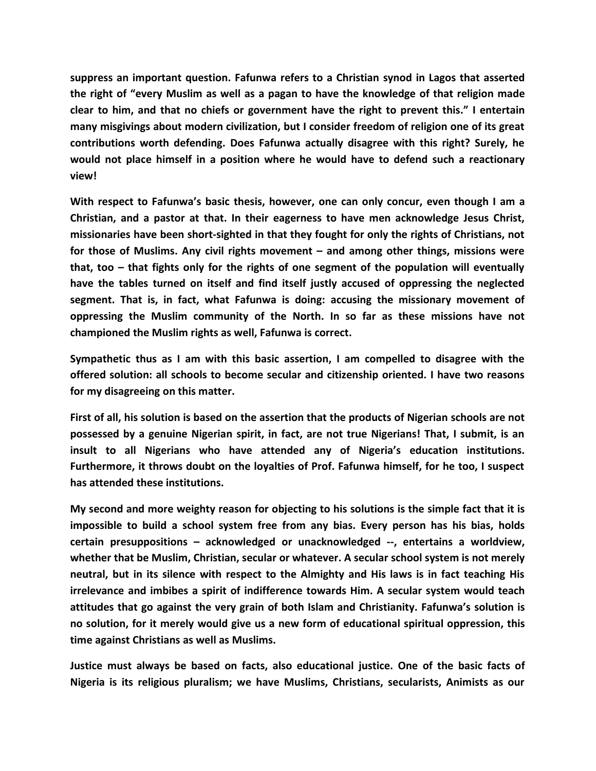**suppress an important question. Fafunwa refers to a Christian synod in Lagos that asserted the right of "every Muslim as well as a pagan to have the knowledge of that religion made clear to him, and that no chiefs or government have the right to prevent this." I entertain many misgivings about modern civilization, but I consider freedom of religion one of its great contributions worth defending. Does Fafunwa actually disagree with this right? Surely, he would not place himself in a position where he would have to defend such a reactionary view!**

**With respect to Fafunwa's basic thesis, however, one can only concur, even though I am a Christian, and a pastor at that. In their eagerness to have men acknowledge Jesus Christ, missionaries have been short-sighted in that they fought for only the rights of Christians, not for those of Muslims. Any civil rights movement – and among other things, missions were that, too – that fights only for the rights of one segment of the population will eventually have the tables turned on itself and find itself justly accused of oppressing the neglected segment. That is, in fact, what Fafunwa is doing: accusing the missionary movement of oppressing the Muslim community of the North. In so far as these missions have not championed the Muslim rights as well, Fafunwa is correct.**

**Sympathetic thus as I am with this basic assertion, I am compelled to disagree with the offered solution: all schools to become secular and citizenship oriented. I have two reasons for my disagreeing on this matter.**

**First of all, his solution is based on the assertion that the products of Nigerian schools are not possessed by a genuine Nigerian spirit, in fact, are not true Nigerians! That, I submit, is an insult to all Nigerians who have attended any of Nigeria's education institutions. Furthermore, it throws doubt on the loyalties of Prof. Fafunwa himself, for he too, I suspect has attended these institutions.**

**My second and more weighty reason for objecting to his solutions is the simple fact that it is impossible to build a school system free from any bias. Every person has his bias, holds certain presuppositions – acknowledged or unacknowledged --, entertains a worldview, whether that be Muslim, Christian, secular or whatever. A secular school system is not merely neutral, but in its silence with respect to the Almighty and His laws is in fact teaching His irrelevance and imbibes a spirit of indifference towards Him. A secular system would teach attitudes that go against the very grain of both Islam and Christianity. Fafunwa's solution is no solution, for it merely would give us a new form of educational spiritual oppression, this time against Christians as well as Muslims.**

**Justice must always be based on facts, also educational justice. One of the basic facts of Nigeria is its religious pluralism; we have Muslims, Christians, secularists, Animists as our**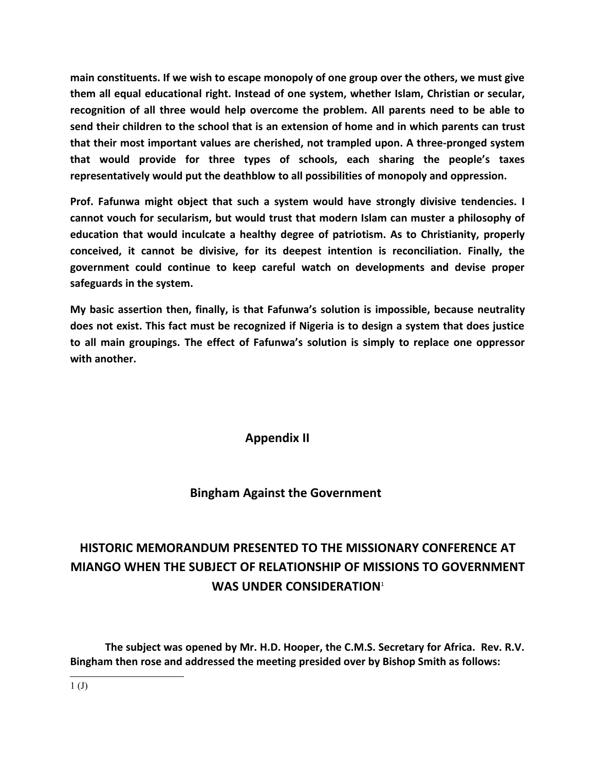**main constituents. If we wish to escape monopoly of one group over the others, we must give them all equal educational right. Instead of one system, whether Islam, Christian or secular, recognition of all three would help overcome the problem. All parents need to be able to send their children to the school that is an extension of home and in which parents can trust that their most important values are cherished, not trampled upon. A three-pronged system that would provide for three types of schools, each sharing the people's taxes representatively would put the deathblow to all possibilities of monopoly and oppression.**

**Prof. Fafunwa might object that such a system would have strongly divisive tendencies. I cannot vouch for secularism, but would trust that modern Islam can muster a philosophy of education that would inculcate a healthy degree of patriotism. As to Christianity, properly conceived, it cannot be divisive, for its deepest intention is reconciliation. Finally, the government could continue to keep careful watch on developments and devise proper safeguards in the system.**

**My basic assertion then, finally, is that Fafunwa's solution is impossible, because neutrality does not exist. This fact must be recognized if Nigeria is to design a system that does justice to all main groupings. The effect of Fafunwa's solution is simply to replace one oppressor with another.**

**Appendix II**

 **Bingham Against the Government**

# **HISTORIC MEMORANDUM PRESENTED TO THE MISSIONARY CONFERENCE AT MIANGO WHEN THE SUBJECT OF RELATIONSHIP OF MISSIONS TO GOVERNMENT WAS UNDER CONSIDERATION**[1](#page-37-0)

<span id="page-37-0"></span>**The subject was opened by Mr. H.D. Hooper, the C.M.S. Secretary for Africa. Rev. R.V. Bingham then rose and addressed the meeting presided over by Bishop Smith as follows:**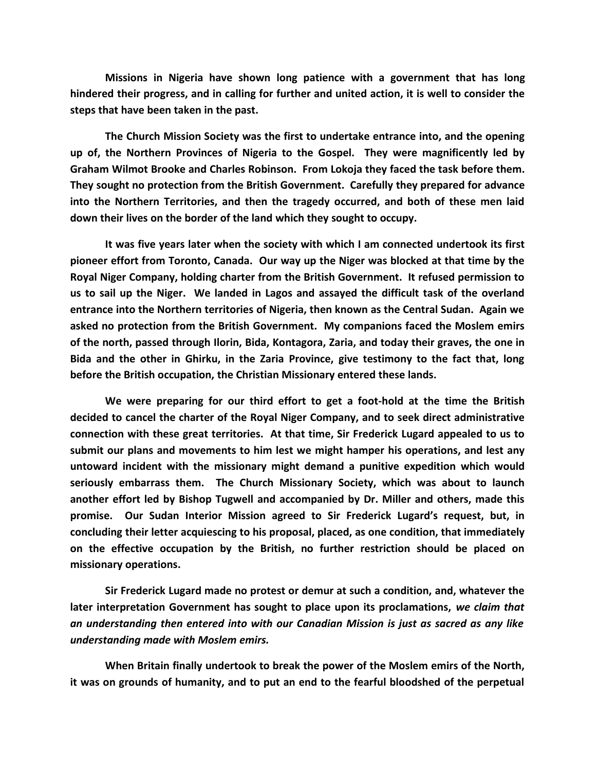**Missions in Nigeria have shown long patience with a government that has long hindered their progress, and in calling for further and united action, it is well to consider the steps that have been taken in the past.**

**The Church Mission Society was the first to undertake entrance into, and the opening up of, the Northern Provinces of Nigeria to the Gospel. They were magnificently led by Graham Wilmot Brooke and Charles Robinson. From Lokoja they faced the task before them. They sought no protection from the British Government. Carefully they prepared for advance into the Northern Territories, and then the tragedy occurred, and both of these men laid down their lives on the border of the land which they sought to occupy.**

**It was five years later when the society with which I am connected undertook its first pioneer effort from Toronto, Canada. Our way up the Niger was blocked at that time by the Royal Niger Company, holding charter from the British Government. It refused permission to us to sail up the Niger. We landed in Lagos and assayed the difficult task of the overland entrance into the Northern territories of Nigeria, then known as the Central Sudan. Again we asked no protection from the British Government. My companions faced the Moslem emirs of the north, passed through Ilorin, Bida, Kontagora, Zaria, and today their graves, the one in Bida and the other in Ghirku, in the Zaria Province, give testimony to the fact that, long before the British occupation, the Christian Missionary entered these lands.** 

**We were preparing for our third effort to get a foot-hold at the time the British decided to cancel the charter of the Royal Niger Company, and to seek direct administrative connection with these great territories. At that time, Sir Frederick Lugard appealed to us to submit our plans and movements to him lest we might hamper his operations, and lest any untoward incident with the missionary might demand a punitive expedition which would seriously embarrass them. The Church Missionary Society, which was about to launch another effort led by Bishop Tugwell and accompanied by Dr. Miller and others, made this promise. Our Sudan Interior Mission agreed to Sir Frederick Lugard's request, but, in concluding their letter acquiescing to his proposal, placed, as one condition, that immediately on the effective occupation by the British, no further restriction should be placed on missionary operations.**

**Sir Frederick Lugard made no protest or demur at such a condition, and, whatever the later interpretation Government has sought to place upon its proclamations,** *we claim that an understanding then entered into with our Canadian Mission is just as sacred as any like understanding made with Moslem emirs.*

**When Britain finally undertook to break the power of the Moslem emirs of the North, it was on grounds of humanity, and to put an end to the fearful bloodshed of the perpetual**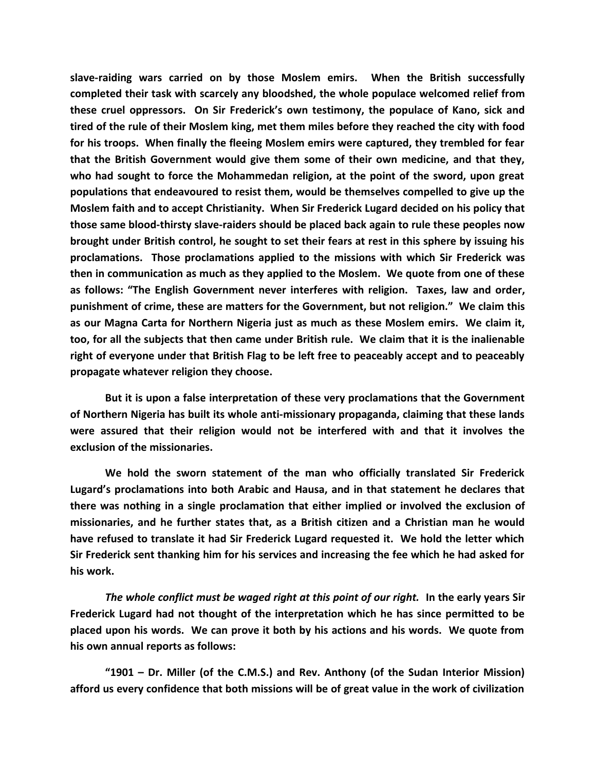**slave-raiding wars carried on by those Moslem emirs. When the British successfully completed their task with scarcely any bloodshed, the whole populace welcomed relief from these cruel oppressors. On Sir Frederick's own testimony, the populace of Kano, sick and tired of the rule of their Moslem king, met them miles before they reached the city with food for his troops. When finally the fleeing Moslem emirs were captured, they trembled for fear that the British Government would give them some of their own medicine, and that they, who had sought to force the Mohammedan religion, at the point of the sword, upon great populations that endeavoured to resist them, would be themselves compelled to give up the Moslem faith and to accept Christianity. When Sir Frederick Lugard decided on his policy that those same blood-thirsty slave-raiders should be placed back again to rule these peoples now brought under British control, he sought to set their fears at rest in this sphere by issuing his proclamations. Those proclamations applied to the missions with which Sir Frederick was then in communication as much as they applied to the Moslem. We quote from one of these as follows: "The English Government never interferes with religion. Taxes, law and order, punishment of crime, these are matters for the Government, but not religion." We claim this as our Magna Carta for Northern Nigeria just as much as these Moslem emirs. We claim it, too, for all the subjects that then came under British rule. We claim that it is the inalienable right of everyone under that British Flag to be left free to peaceably accept and to peaceably propagate whatever religion they choose.** 

**But it is upon a false interpretation of these very proclamations that the Government of Northern Nigeria has built its whole anti-missionary propaganda, claiming that these lands were assured that their religion would not be interfered with and that it involves the exclusion of the missionaries.**

**We hold the sworn statement of the man who officially translated Sir Frederick Lugard's proclamations into both Arabic and Hausa, and in that statement he declares that there was nothing in a single proclamation that either implied or involved the exclusion of missionaries, and he further states that, as a British citizen and a Christian man he would have refused to translate it had Sir Frederick Lugard requested it. We hold the letter which Sir Frederick sent thanking him for his services and increasing the fee which he had asked for his work.**

*The whole conflict must be waged right at this point of our right.* **In the early years Sir Frederick Lugard had not thought of the interpretation which he has since permitted to be placed upon his words. We can prove it both by his actions and his words. We quote from his own annual reports as follows:**

**"1901 – Dr. Miller (of the C.M.S.) and Rev. Anthony (of the Sudan Interior Mission) afford us every confidence that both missions will be of great value in the work of civilization**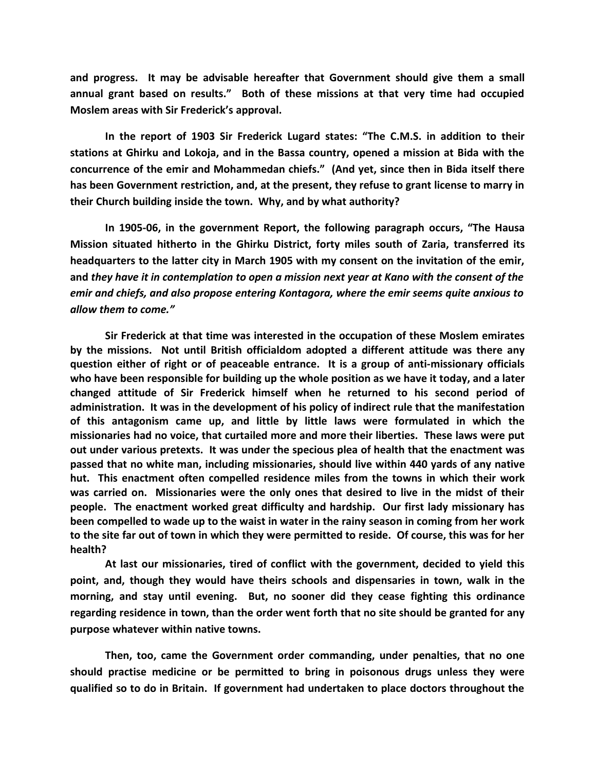**and progress. It may be advisable hereafter that Government should give them a small annual grant based on results." Both of these missions at that very time had occupied Moslem areas with Sir Frederick's approval.**

**In the report of 1903 Sir Frederick Lugard states: "The C.M.S. in addition to their stations at Ghirku and Lokoja, and in the Bassa country, opened a mission at Bida with the concurrence of the emir and Mohammedan chiefs." (And yet, since then in Bida itself there has been Government restriction, and, at the present, they refuse to grant license to marry in their Church building inside the town. Why, and by what authority?**

**In 1905-06, in the government Report, the following paragraph occurs, "The Hausa Mission situated hitherto in the Ghirku District, forty miles south of Zaria, transferred its headquarters to the latter city in March 1905 with my consent on the invitation of the emir, and** *they have it in contemplation to open a mission next year at Kano with the consent of the emir and chiefs, and also propose entering Kontagora, where the emir seems quite anxious to allow them to come."*

**Sir Frederick at that time was interested in the occupation of these Moslem emirates by the missions. Not until British officialdom adopted a different attitude was there any question either of right or of peaceable entrance. It is a group of anti-missionary officials who have been responsible for building up the whole position as we have it today, and a later changed attitude of Sir Frederick himself when he returned to his second period of administration. It was in the development of his policy of indirect rule that the manifestation of this antagonism came up, and little by little laws were formulated in which the missionaries had no voice, that curtailed more and more their liberties. These laws were put out under various pretexts. It was under the specious plea of health that the enactment was passed that no white man, including missionaries, should live within 440 yards of any native hut. This enactment often compelled residence miles from the towns in which their work was carried on. Missionaries were the only ones that desired to live in the midst of their people. The enactment worked great difficulty and hardship. Our first lady missionary has been compelled to wade up to the waist in water in the rainy season in coming from her work to the site far out of town in which they were permitted to reside. Of course, this was for her health?**

**At last our missionaries, tired of conflict with the government, decided to yield this point, and, though they would have theirs schools and dispensaries in town, walk in the morning, and stay until evening. But, no sooner did they cease fighting this ordinance regarding residence in town, than the order went forth that no site should be granted for any purpose whatever within native towns.**

**Then, too, came the Government order commanding, under penalties, that no one should practise medicine or be permitted to bring in poisonous drugs unless they were qualified so to do in Britain. If government had undertaken to place doctors throughout the**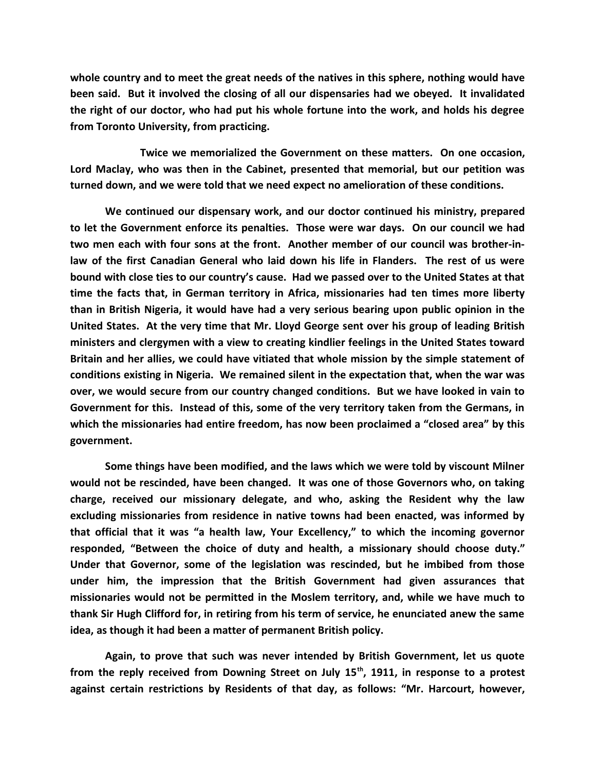**whole country and to meet the great needs of the natives in this sphere, nothing would have been said. But it involved the closing of all our dispensaries had we obeyed. It invalidated the right of our doctor, who had put his whole fortune into the work, and holds his degree from Toronto University, from practicing.**

**Twice we memorialized the Government on these matters. On one occasion, Lord Maclay, who was then in the Cabinet, presented that memorial, but our petition was turned down, and we were told that we need expect no amelioration of these conditions.**

**We continued our dispensary work, and our doctor continued his ministry, prepared to let the Government enforce its penalties. Those were war days. On our council we had two men each with four sons at the front. Another member of our council was brother-inlaw of the first Canadian General who laid down his life in Flanders. The rest of us were bound with close ties to our country's cause. Had we passed over to the United States at that time the facts that, in German territory in Africa, missionaries had ten times more liberty than in British Nigeria, it would have had a very serious bearing upon public opinion in the United States. At the very time that Mr. Lloyd George sent over his group of leading British ministers and clergymen with a view to creating kindlier feelings in the United States toward Britain and her allies, we could have vitiated that whole mission by the simple statement of conditions existing in Nigeria. We remained silent in the expectation that, when the war was over, we would secure from our country changed conditions. But we have looked in vain to Government for this. Instead of this, some of the very territory taken from the Germans, in which the missionaries had entire freedom, has now been proclaimed a "closed area" by this government.**

**Some things have been modified, and the laws which we were told by viscount Milner would not be rescinded, have been changed. It was one of those Governors who, on taking charge, received our missionary delegate, and who, asking the Resident why the law excluding missionaries from residence in native towns had been enacted, was informed by that official that it was "a health law, Your Excellency," to which the incoming governor responded, "Between the choice of duty and health, a missionary should choose duty." Under that Governor, some of the legislation was rescinded, but he imbibed from those under him, the impression that the British Government had given assurances that missionaries would not be permitted in the Moslem territory, and, while we have much to thank Sir Hugh Clifford for, in retiring from his term of service, he enunciated anew the same idea, as though it had been a matter of permanent British policy.**

**Again, to prove that such was never intended by British Government, let us quote from the reply received from Downing Street on July 15th, 1911, in response to a protest against certain restrictions by Residents of that day, as follows: "Mr. Harcourt, however,**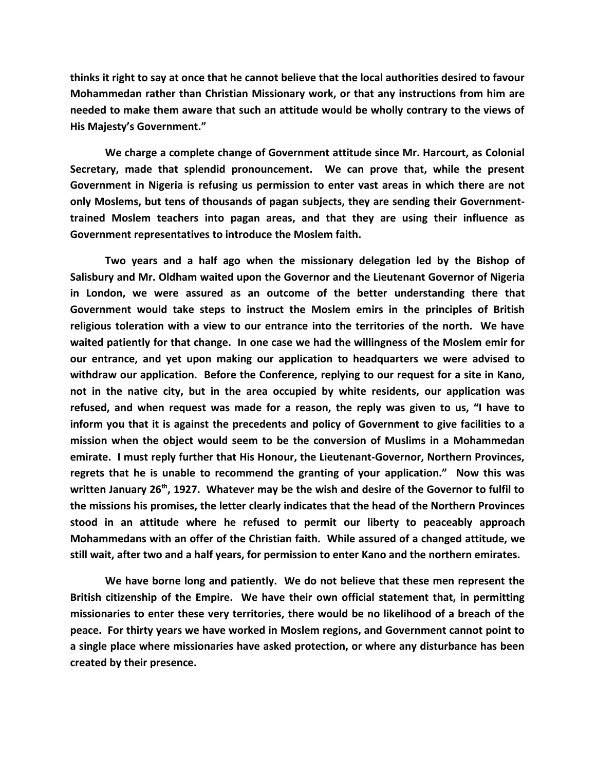**thinks it right to say at once that he cannot believe that the local authorities desired to favour Mohammedan rather than Christian Missionary work, or that any instructions from him are needed to make them aware that such an attitude would be wholly contrary to the views of His Majesty's Government."**

**We charge a complete change of Government attitude since Mr. Harcourt, as Colonial Secretary, made that splendid pronouncement. We can prove that, while the present Government in Nigeria is refusing us permission to enter vast areas in which there are not only Moslems, but tens of thousands of pagan subjects, they are sending their Governmenttrained Moslem teachers into pagan areas, and that they are using their influence as Government representatives to introduce the Moslem faith.**

**Two years and a half ago when the missionary delegation led by the Bishop of Salisbury and Mr. Oldham waited upon the Governor and the Lieutenant Governor of Nigeria in London, we were assured as an outcome of the better understanding there that Government would take steps to instruct the Moslem emirs in the principles of British religious toleration with a view to our entrance into the territories of the north. We have waited patiently for that change. In one case we had the willingness of the Moslem emir for our entrance, and yet upon making our application to headquarters we were advised to withdraw our application. Before the Conference, replying to our request for a site in Kano, not in the native city, but in the area occupied by white residents, our application was refused, and when request was made for a reason, the reply was given to us, "I have to inform you that it is against the precedents and policy of Government to give facilities to a mission when the object would seem to be the conversion of Muslims in a Mohammedan emirate. I must reply further that His Honour, the Lieutenant-Governor, Northern Provinces, regrets that he is unable to recommend the granting of your application." Now this was written January 26th, 1927. Whatever may be the wish and desire of the Governor to fulfil to the missions his promises, the letter clearly indicates that the head of the Northern Provinces stood in an attitude where he refused to permit our liberty to peaceably approach Mohammedans with an offer of the Christian faith. While assured of a changed attitude, we still wait, after two and a half years, for permission to enter Kano and the northern emirates.** 

**We have borne long and patiently. We do not believe that these men represent the British citizenship of the Empire. We have their own official statement that, in permitting missionaries to enter these very territories, there would be no likelihood of a breach of the peace. For thirty years we have worked in Moslem regions, and Government cannot point to a single place where missionaries have asked protection, or where any disturbance has been created by their presence.**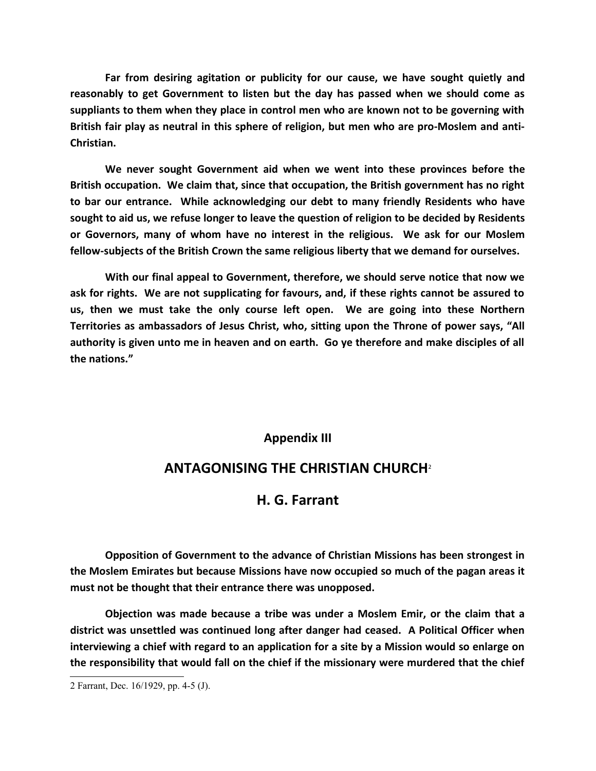**Far from desiring agitation or publicity for our cause, we have sought quietly and reasonably to get Government to listen but the day has passed when we should come as suppliants to them when they place in control men who are known not to be governing with British fair play as neutral in this sphere of religion, but men who are pro-Moslem and anti-Christian.**

**We never sought Government aid when we went into these provinces before the British occupation. We claim that, since that occupation, the British government has no right to bar our entrance. While acknowledging our debt to many friendly Residents who have sought to aid us, we refuse longer to leave the question of religion to be decided by Residents or Governors, many of whom have no interest in the religious. We ask for our Moslem fellow-subjects of the British Crown the same religious liberty that we demand for ourselves.**

**With our final appeal to Government, therefore, we should serve notice that now we ask for rights. We are not supplicating for favours, and, if these rights cannot be assured to us, then we must take the only course left open. We are going into these Northern Territories as ambassadors of Jesus Christ, who, sitting upon the Throne of power says, "All authority is given unto me in heaven and on earth. Go ye therefore and make disciples of all the nations."**

## **Appendix III**

# **ANTAGONISING THE CHRISTIAN CHURCH**[2](#page-43-0)

# **H. G. Farrant**

**Opposition of Government to the advance of Christian Missions has been strongest in the Moslem Emirates but because Missions have now occupied so much of the pagan areas it must not be thought that their entrance there was unopposed.**

**Objection was made because a tribe was under a Moslem Emir, or the claim that a district was unsettled was continued long after danger had ceased. A Political Officer when interviewing a chief with regard to an application for a site by a Mission would so enlarge on the responsibility that would fall on the chief if the missionary were murdered that the chief**

<span id="page-43-0"></span><sup>2</sup> Farrant, Dec. 16/1929, pp. 4-5 (J).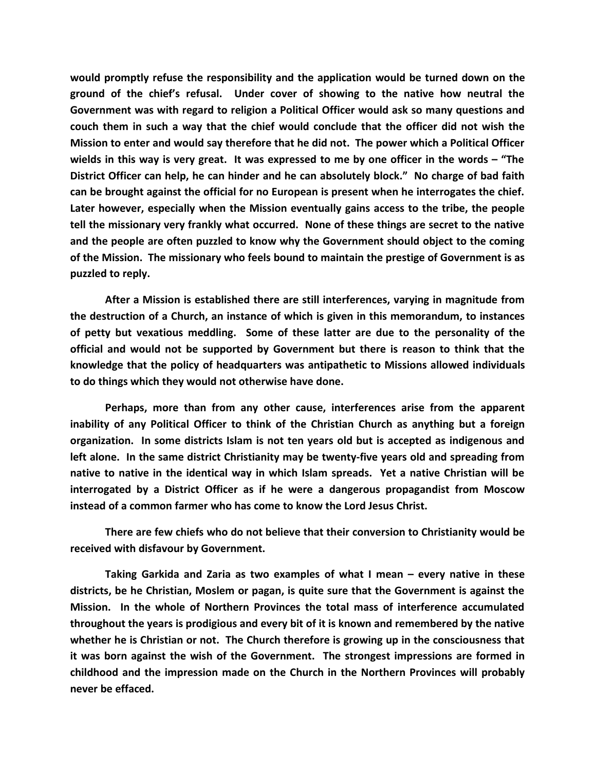**would promptly refuse the responsibility and the application would be turned down on the ground of the chief's refusal. Under cover of showing to the native how neutral the Government was with regard to religion a Political Officer would ask so many questions and couch them in such a way that the chief would conclude that the officer did not wish the Mission to enter and would say therefore that he did not. The power which a Political Officer wields in this way is very great. It was expressed to me by one officer in the words – "The District Officer can help, he can hinder and he can absolutely block." No charge of bad faith can be brought against the official for no European is present when he interrogates the chief. Later however, especially when the Mission eventually gains access to the tribe, the people tell the missionary very frankly what occurred. None of these things are secret to the native and the people are often puzzled to know why the Government should object to the coming of the Mission. The missionary who feels bound to maintain the prestige of Government is as puzzled to reply.**

**After a Mission is established there are still interferences, varying in magnitude from the destruction of a Church, an instance of which is given in this memorandum, to instances of petty but vexatious meddling. Some of these latter are due to the personality of the official and would not be supported by Government but there is reason to think that the knowledge that the policy of headquarters was antipathetic to Missions allowed individuals to do things which they would not otherwise have done.**

**Perhaps, more than from any other cause, interferences arise from the apparent inability of any Political Officer to think of the Christian Church as anything but a foreign organization. In some districts Islam is not ten years old but is accepted as indigenous and left alone. In the same district Christianity may be twenty-five years old and spreading from native to native in the identical way in which Islam spreads. Yet a native Christian will be interrogated by a District Officer as if he were a dangerous propagandist from Moscow instead of a common farmer who has come to know the Lord Jesus Christ.**

**There are few chiefs who do not believe that their conversion to Christianity would be received with disfavour by Government.**

**Taking Garkida and Zaria as two examples of what I mean – every native in these districts, be he Christian, Moslem or pagan, is quite sure that the Government is against the Mission. In the whole of Northern Provinces the total mass of interference accumulated throughout the years is prodigious and every bit of it is known and remembered by the native whether he is Christian or not. The Church therefore is growing up in the consciousness that it was born against the wish of the Government. The strongest impressions are formed in childhood and the impression made on the Church in the Northern Provinces will probably never be effaced.**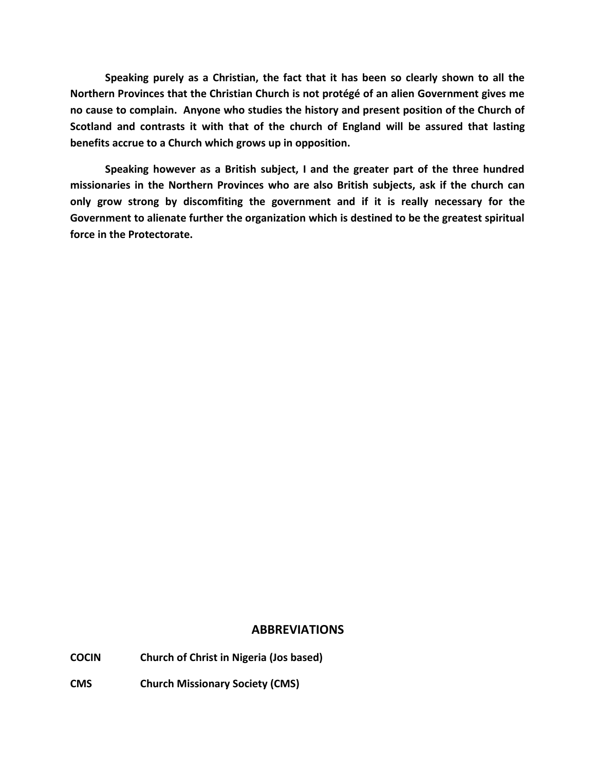**Speaking purely as a Christian, the fact that it has been so clearly shown to all the Northern Provinces that the Christian Church is not protégé of an alien Government gives me no cause to complain. Anyone who studies the history and present position of the Church of Scotland and contrasts it with that of the church of England will be assured that lasting benefits accrue to a Church which grows up in opposition.**

**Speaking however as a British subject, I and the greater part of the three hundred missionaries in the Northern Provinces who are also British subjects, ask if the church can only grow strong by discomfiting the government and if it is really necessary for the Government to alienate further the organization which is destined to be the greatest spiritual force in the Protectorate.**

#### **ABBREVIATIONS**

**COCIN Church of Christ in Nigeria (Jos based)**

**CMS Church Missionary Society (CMS)**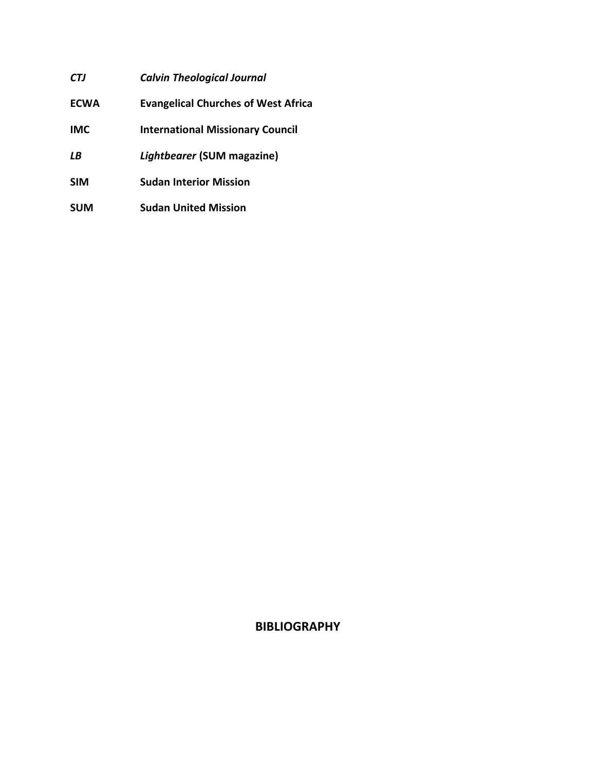| CTJ  | <b>Calvin Theological Journal</b>          |
|------|--------------------------------------------|
| ECWA | <b>Evangelical Churches of West Africa</b> |
| IMC  | <b>International Missionary Council</b>    |
| LΒ   | Lightbearer (SUM magazine)                 |
| SIM  | <b>Sudan Interior Mission</b>              |
| SUM  | <b>Sudan United Mission</b>                |

# **BIBLIOGRAPHY**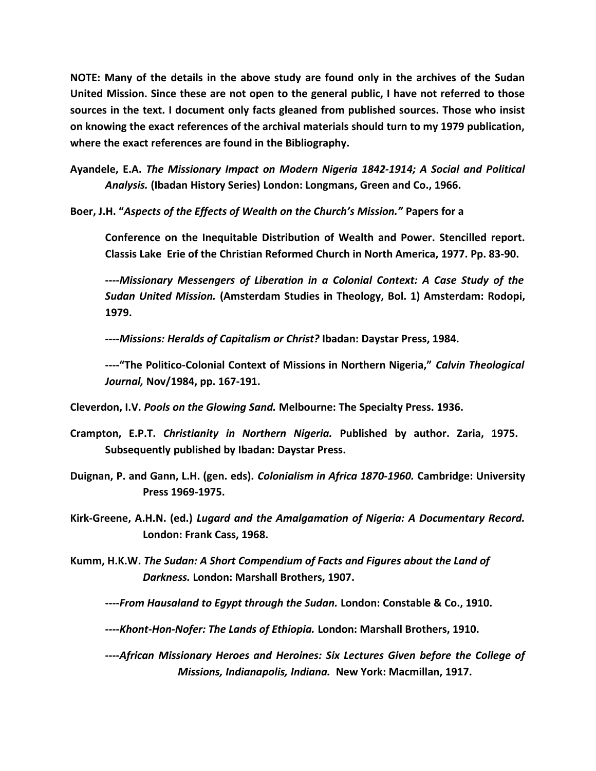**NOTE: Many of the details in the above study are found only in the archives of the Sudan United Mission. Since these are not open to the general public, I have not referred to those sources in the text. I document only facts gleaned from published sources. Those who insist on knowing the exact references of the archival materials should turn to my 1979 publication, where the exact references are found in the Bibliography.**

**Ayandele, E.A.** *The Missionary Impact on Modern Nigeria 1842-1914; A Social and Political Analysis.* **(Ibadan History Series) London: Longmans, Green and Co., 1966.**

**Boer, J.H. "***Aspects of the Effects of Wealth on the Church's Mission."* **Papers for a** 

**Conference on the Inequitable Distribution of Wealth and Power. Stencilled report. Classis Lake Erie of the Christian Reformed Church in North America, 1977. Pp. 83-90.**

**----***Missionary Messengers of Liberation in a Colonial Context: A Case Study of the Sudan United Mission.* **(Amsterdam Studies in Theology, Bol. 1) Amsterdam: Rodopi, 1979.**

**----***Missions: Heralds of Capitalism or Christ?* **Ibadan: Daystar Press, 1984.**

**----"The Politico-Colonial Context of Missions in Northern Nigeria,"** *Calvin Theological Journal,* **Nov/1984, pp. 167-191.**

**Cleverdon, I.V.** *Pools on the Glowing Sand.* **Melbourne: The Specialty Press. 1936.**

- **Crampton, E.P.T.** *Christianity in Northern Nigeria.* **Published by author. Zaria, 1975. Subsequently published by Ibadan: Daystar Press.**
- **Duignan, P. and Gann, L.H. (gen. eds).** *Colonialism in Africa 1870-1960.* **Cambridge: University Press 1969-1975.**
- **Kirk-Greene, A.H.N. (ed.)** *Lugard and the Amalgamation of Nigeria: A Documentary Record.*  **London: Frank Cass, 1968.**
- **Kumm, H.K.W.** *The Sudan: A Short Compendium of Facts and Figures about the Land of Darkness.* **London: Marshall Brothers, 1907.**
	- **----***From Hausaland to Egypt through the Sudan.* **London: Constable & Co., 1910.**
	- **----***Khont-Hon-Nofer: The Lands of Ethiopia.* **London: Marshall Brothers, 1910.**
	- **----***African Missionary Heroes and Heroines: Six Lectures Given before the College of Missions, Indianapolis, Indiana.* **New York: Macmillan, 1917.**